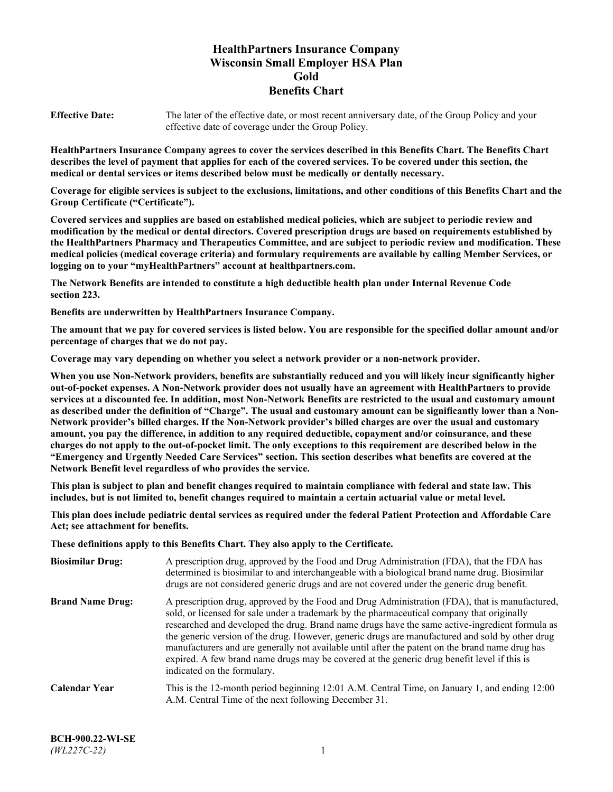# **HealthPartners Insurance Company Wisconsin Small Employer HSA Plan Gold Benefits Chart**

**Effective Date:** The later of the effective date, or most recent anniversary date, of the Group Policy and your effective date of coverage under the Group Policy.

**HealthPartners Insurance Company agrees to cover the services described in this Benefits Chart. The Benefits Chart describes the level of payment that applies for each of the covered services. To be covered under this section, the medical or dental services or items described below must be medically or dentally necessary.**

**Coverage for eligible services is subject to the exclusions, limitations, and other conditions of this Benefits Chart and the Group Certificate ("Certificate").**

**Covered services and supplies are based on established medical policies, which are subject to periodic review and modification by the medical or dental directors. Covered prescription drugs are based on requirements established by the HealthPartners Pharmacy and Therapeutics Committee, and are subject to periodic review and modification. These medical policies (medical coverage criteria) and formulary requirements are available by calling Member Services, or logging on to your "myHealthPartners" account at [healthpartners.com.](https://www.healthpartners.com/hp/index.html)**

**The Network Benefits are intended to constitute a high deductible health plan under Internal Revenue Code section 223.**

**Benefits are underwritten by HealthPartners Insurance Company.**

**The amount that we pay for covered services is listed below. You are responsible for the specified dollar amount and/or percentage of charges that we do not pay.**

**Coverage may vary depending on whether you select a network provider or a non-network provider.**

**When you use Non-Network providers, benefits are substantially reduced and you will likely incur significantly higher out-of-pocket expenses. A Non-Network provider does not usually have an agreement with HealthPartners to provide services at a discounted fee. In addition, most Non-Network Benefits are restricted to the usual and customary amount as described under the definition of "Charge". The usual and customary amount can be significantly lower than a Non-Network provider's billed charges. If the Non-Network provider's billed charges are over the usual and customary amount, you pay the difference, in addition to any required deductible, copayment and/or coinsurance, and these charges do not apply to the out-of-pocket limit. The only exceptions to this requirement are described below in the "Emergency and Urgently Needed Care Services" section. This section describes what benefits are covered at the Network Benefit level regardless of who provides the service.**

**This plan is subject to plan and benefit changes required to maintain compliance with federal and state law. This includes, but is not limited to, benefit changes required to maintain a certain actuarial value or metal level.**

**This plan does include pediatric dental services as required under the federal Patient Protection and Affordable Care Act; see attachment for benefits.**

**These definitions apply to this Benefits Chart. They also apply to the Certificate.**

| <b>Biosimilar Drug:</b> | A prescription drug, approved by the Food and Drug Administration (FDA), that the FDA has<br>determined is biosimilar to and interchangeable with a biological brand name drug. Biosimilar<br>drugs are not considered generic drugs and are not covered under the generic drug benefit.                                                                                                                                                                                                                                                                                                                                           |
|-------------------------|------------------------------------------------------------------------------------------------------------------------------------------------------------------------------------------------------------------------------------------------------------------------------------------------------------------------------------------------------------------------------------------------------------------------------------------------------------------------------------------------------------------------------------------------------------------------------------------------------------------------------------|
| <b>Brand Name Drug:</b> | A prescription drug, approved by the Food and Drug Administration (FDA), that is manufactured,<br>sold, or licensed for sale under a trademark by the pharmaceutical company that originally<br>researched and developed the drug. Brand name drugs have the same active-ingredient formula as<br>the generic version of the drug. However, generic drugs are manufactured and sold by other drug<br>manufacturers and are generally not available until after the patent on the brand name drug has<br>expired. A few brand name drugs may be covered at the generic drug benefit level if this is<br>indicated on the formulary. |
| <b>Calendar Year</b>    | This is the 12-month period beginning 12:01 A.M. Central Time, on January 1, and ending 12:00<br>A.M. Central Time of the next following December 31.                                                                                                                                                                                                                                                                                                                                                                                                                                                                              |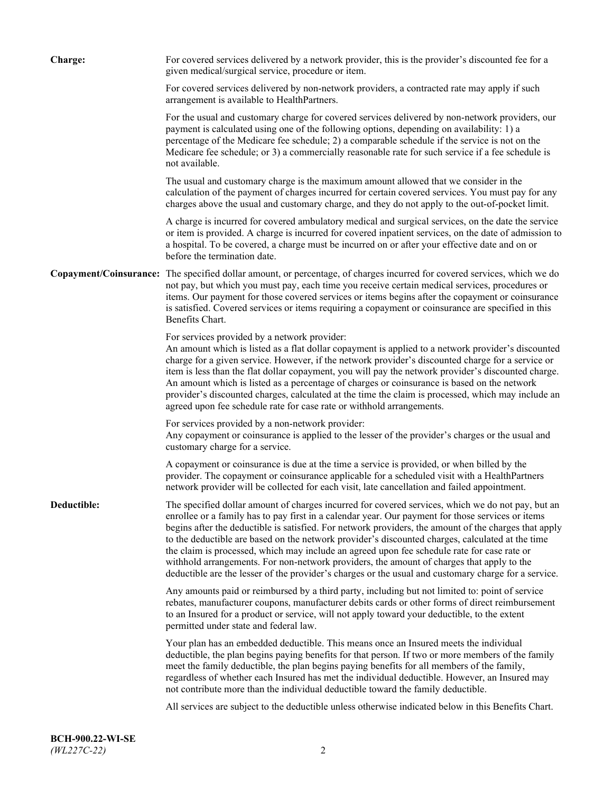| <b>Charge:</b> | For covered services delivered by a network provider, this is the provider's discounted fee for a<br>given medical/surgical service, procedure or item.                                                                                                                                                                                                                                                                                                                                                                                                                                                                                                                                                                 |
|----------------|-------------------------------------------------------------------------------------------------------------------------------------------------------------------------------------------------------------------------------------------------------------------------------------------------------------------------------------------------------------------------------------------------------------------------------------------------------------------------------------------------------------------------------------------------------------------------------------------------------------------------------------------------------------------------------------------------------------------------|
|                | For covered services delivered by non-network providers, a contracted rate may apply if such<br>arrangement is available to HealthPartners.                                                                                                                                                                                                                                                                                                                                                                                                                                                                                                                                                                             |
|                | For the usual and customary charge for covered services delivered by non-network providers, our<br>payment is calculated using one of the following options, depending on availability: 1) a<br>percentage of the Medicare fee schedule; 2) a comparable schedule if the service is not on the<br>Medicare fee schedule; or 3) a commercially reasonable rate for such service if a fee schedule is<br>not available.                                                                                                                                                                                                                                                                                                   |
|                | The usual and customary charge is the maximum amount allowed that we consider in the<br>calculation of the payment of charges incurred for certain covered services. You must pay for any<br>charges above the usual and customary charge, and they do not apply to the out-of-pocket limit.                                                                                                                                                                                                                                                                                                                                                                                                                            |
|                | A charge is incurred for covered ambulatory medical and surgical services, on the date the service<br>or item is provided. A charge is incurred for covered inpatient services, on the date of admission to<br>a hospital. To be covered, a charge must be incurred on or after your effective date and on or<br>before the termination date.                                                                                                                                                                                                                                                                                                                                                                           |
|                | Copayment/Coinsurance: The specified dollar amount, or percentage, of charges incurred for covered services, which we do<br>not pay, but which you must pay, each time you receive certain medical services, procedures or<br>items. Our payment for those covered services or items begins after the copayment or coinsurance<br>is satisfied. Covered services or items requiring a copayment or coinsurance are specified in this<br>Benefits Chart.                                                                                                                                                                                                                                                                 |
|                | For services provided by a network provider:<br>An amount which is listed as a flat dollar copayment is applied to a network provider's discounted<br>charge for a given service. However, if the network provider's discounted charge for a service or<br>item is less than the flat dollar copayment, you will pay the network provider's discounted charge.<br>An amount which is listed as a percentage of charges or coinsurance is based on the network<br>provider's discounted charges, calculated at the time the claim is processed, which may include an<br>agreed upon fee schedule rate for case rate or withhold arrangements.                                                                            |
|                | For services provided by a non-network provider:<br>Any copayment or coinsurance is applied to the lesser of the provider's charges or the usual and<br>customary charge for a service.                                                                                                                                                                                                                                                                                                                                                                                                                                                                                                                                 |
|                | A copayment or coinsurance is due at the time a service is provided, or when billed by the<br>provider. The copayment or coinsurance applicable for a scheduled visit with a HealthPartners<br>network provider will be collected for each visit, late cancellation and failed appointment.                                                                                                                                                                                                                                                                                                                                                                                                                             |
| Deductible:    | The specified dollar amount of charges incurred for covered services, which we do not pay, but an<br>enrollee or a family has to pay first in a calendar year. Our payment for those services or items<br>begins after the deductible is satisfied. For network providers, the amount of the charges that apply<br>to the deductible are based on the network provider's discounted charges, calculated at the time<br>the claim is processed, which may include an agreed upon fee schedule rate for case rate or<br>withhold arrangements. For non-network providers, the amount of charges that apply to the<br>deductible are the lesser of the provider's charges or the usual and customary charge for a service. |
|                | Any amounts paid or reimbursed by a third party, including but not limited to: point of service<br>rebates, manufacturer coupons, manufacturer debits cards or other forms of direct reimbursement<br>to an Insured for a product or service, will not apply toward your deductible, to the extent<br>permitted under state and federal law.                                                                                                                                                                                                                                                                                                                                                                            |
|                | Your plan has an embedded deductible. This means once an Insured meets the individual<br>deductible, the plan begins paying benefits for that person. If two or more members of the family<br>meet the family deductible, the plan begins paying benefits for all members of the family,<br>regardless of whether each Insured has met the individual deductible. However, an Insured may<br>not contribute more than the individual deductible toward the family deductible.                                                                                                                                                                                                                                           |
|                | All services are subject to the deductible unless otherwise indicated below in this Benefits Chart.                                                                                                                                                                                                                                                                                                                                                                                                                                                                                                                                                                                                                     |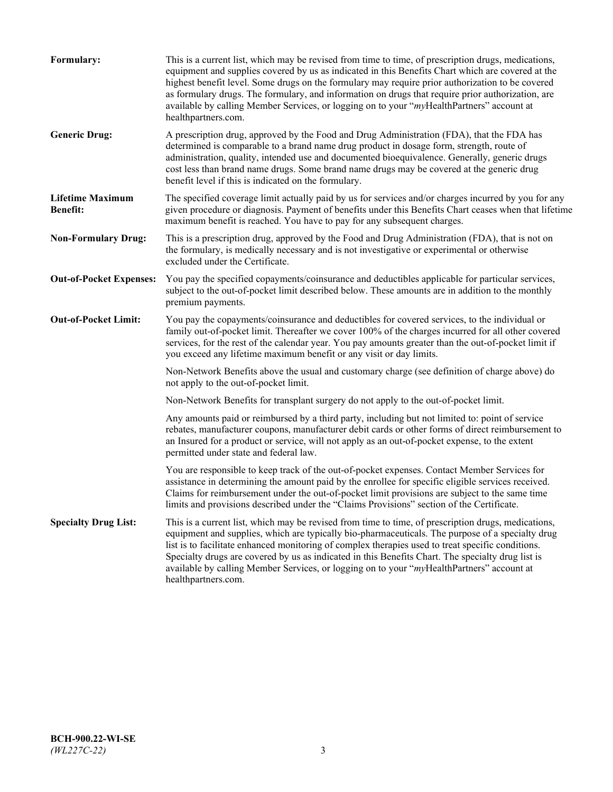| Formulary:                                 | This is a current list, which may be revised from time to time, of prescription drugs, medications,<br>equipment and supplies covered by us as indicated in this Benefits Chart which are covered at the<br>highest benefit level. Some drugs on the formulary may require prior authorization to be covered<br>as formulary drugs. The formulary, and information on drugs that require prior authorization, are<br>available by calling Member Services, or logging on to your "myHealthPartners" account at<br>healthpartners.com. |
|--------------------------------------------|---------------------------------------------------------------------------------------------------------------------------------------------------------------------------------------------------------------------------------------------------------------------------------------------------------------------------------------------------------------------------------------------------------------------------------------------------------------------------------------------------------------------------------------|
| <b>Generic Drug:</b>                       | A prescription drug, approved by the Food and Drug Administration (FDA), that the FDA has<br>determined is comparable to a brand name drug product in dosage form, strength, route of<br>administration, quality, intended use and documented bioequivalence. Generally, generic drugs<br>cost less than brand name drugs. Some brand name drugs may be covered at the generic drug<br>benefit level if this is indicated on the formulary.                                                                                           |
| <b>Lifetime Maximum</b><br><b>Benefit:</b> | The specified coverage limit actually paid by us for services and/or charges incurred by you for any<br>given procedure or diagnosis. Payment of benefits under this Benefits Chart ceases when that lifetime<br>maximum benefit is reached. You have to pay for any subsequent charges.                                                                                                                                                                                                                                              |
| <b>Non-Formulary Drug:</b>                 | This is a prescription drug, approved by the Food and Drug Administration (FDA), that is not on<br>the formulary, is medically necessary and is not investigative or experimental or otherwise<br>excluded under the Certificate.                                                                                                                                                                                                                                                                                                     |
| <b>Out-of-Pocket Expenses:</b>             | You pay the specified copayments/coinsurance and deductibles applicable for particular services,<br>subject to the out-of-pocket limit described below. These amounts are in addition to the monthly<br>premium payments.                                                                                                                                                                                                                                                                                                             |
| <b>Out-of-Pocket Limit:</b>                | You pay the copayments/coinsurance and deductibles for covered services, to the individual or<br>family out-of-pocket limit. Thereafter we cover 100% of the charges incurred for all other covered<br>services, for the rest of the calendar year. You pay amounts greater than the out-of-pocket limit if<br>you exceed any lifetime maximum benefit or any visit or day limits.                                                                                                                                                    |
|                                            | Non-Network Benefits above the usual and customary charge (see definition of charge above) do<br>not apply to the out-of-pocket limit.                                                                                                                                                                                                                                                                                                                                                                                                |
|                                            | Non-Network Benefits for transplant surgery do not apply to the out-of-pocket limit.                                                                                                                                                                                                                                                                                                                                                                                                                                                  |
|                                            | Any amounts paid or reimbursed by a third party, including but not limited to: point of service<br>rebates, manufacturer coupons, manufacturer debit cards or other forms of direct reimbursement to<br>an Insured for a product or service, will not apply as an out-of-pocket expense, to the extent<br>permitted under state and federal law.                                                                                                                                                                                      |
|                                            | You are responsible to keep track of the out-of-pocket expenses. Contact Member Services for<br>assistance in determining the amount paid by the enrollee for specific eligible services received.<br>Claims for reimbursement under the out-of-pocket limit provisions are subject to the same time<br>limits and provisions described under the "Claims Provisions" section of the Certificate.                                                                                                                                     |
| <b>Specialty Drug List:</b>                | This is a current list, which may be revised from time to time, of prescription drugs, medications,<br>equipment and supplies, which are typically bio-pharmaceuticals. The purpose of a specialty drug<br>list is to facilitate enhanced monitoring of complex therapies used to treat specific conditions.<br>Specialty drugs are covered by us as indicated in this Benefits Chart. The specialty drug list is<br>available by calling Member Services, or logging on to your "myHealthPartners" account at<br>healthpartners.com. |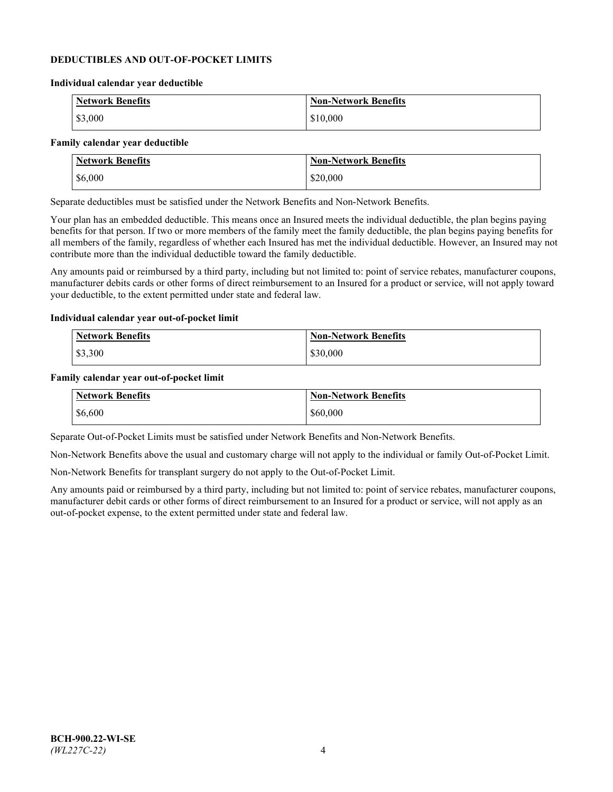### **DEDUCTIBLES AND OUT-OF-POCKET LIMITS**

#### **Individual calendar year deductible**

| <b>Network Benefits</b> | <b>Non-Network Benefits</b> |
|-------------------------|-----------------------------|
| \$3,000                 | \$10,000                    |

#### **Family calendar year deductible**

| <b>Network Benefits</b> | <b>Non-Network Benefits</b> |
|-------------------------|-----------------------------|
| \$6,000                 | \$20,000                    |

Separate deductibles must be satisfied under the Network Benefits and Non-Network Benefits.

Your plan has an embedded deductible. This means once an Insured meets the individual deductible, the plan begins paying benefits for that person. If two or more members of the family meet the family deductible, the plan begins paying benefits for all members of the family, regardless of whether each Insured has met the individual deductible. However, an Insured may not contribute more than the individual deductible toward the family deductible.

Any amounts paid or reimbursed by a third party, including but not limited to: point of service rebates, manufacturer coupons, manufacturer debits cards or other forms of direct reimbursement to an Insured for a product or service, will not apply toward your deductible, to the extent permitted under state and federal law.

#### **Individual calendar year out-of-pocket limit**

| Network Benefits | <b>Non-Network Benefits</b> |
|------------------|-----------------------------|
| \$3,300          | \$30,000                    |

#### **Family calendar year out-of-pocket limit**

| <b>Network Benefits</b> | <b>Non-Network Benefits</b> |
|-------------------------|-----------------------------|
| \$6,600                 | \$60,000                    |

Separate Out-of-Pocket Limits must be satisfied under Network Benefits and Non-Network Benefits.

Non-Network Benefits above the usual and customary charge will not apply to the individual or family Out-of-Pocket Limit.

Non-Network Benefits for transplant surgery do not apply to the Out-of-Pocket Limit.

Any amounts paid or reimbursed by a third party, including but not limited to: point of service rebates, manufacturer coupons, manufacturer debit cards or other forms of direct reimbursement to an Insured for a product or service, will not apply as an out-of-pocket expense, to the extent permitted under state and federal law.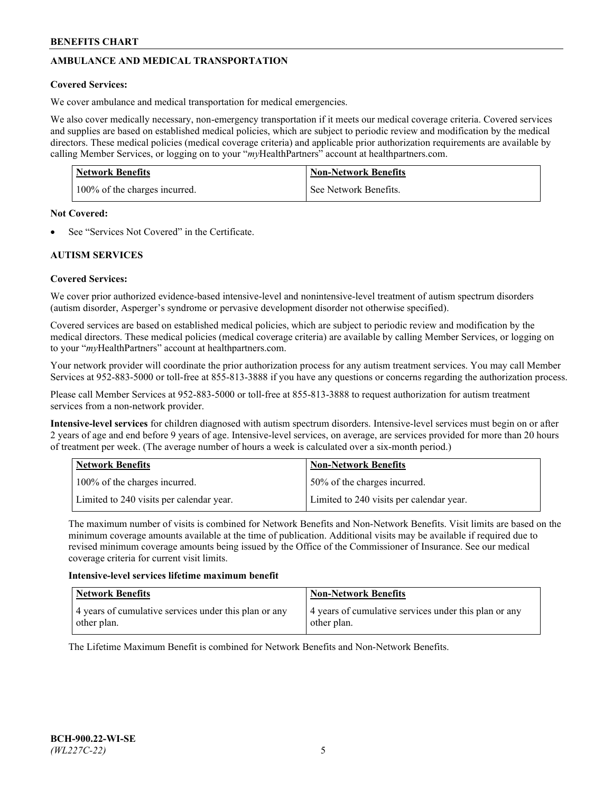# **AMBULANCE AND MEDICAL TRANSPORTATION**

# **Covered Services:**

We cover ambulance and medical transportation for medical emergencies.

We also cover medically necessary, non-emergency transportation if it meets our medical coverage criteria. Covered services and supplies are based on established medical policies, which are subject to periodic review and modification by the medical directors. These medical policies (medical coverage criteria) and applicable prior authorization requirements are available by calling Member Services, or logging on to your "*my*HealthPartners" account a[t healthpartners.com.](https://www.healthpartners.com/hp/index.html)

| <b>Network Benefits</b>       | <b>Non-Network Benefits</b> |
|-------------------------------|-----------------------------|
| 100% of the charges incurred. | See Network Benefits.       |

## **Not Covered:**

See "Services Not Covered" in the Certificate.

# **AUTISM SERVICES**

# **Covered Services:**

We cover prior authorized evidence-based intensive-level and nonintensive-level treatment of autism spectrum disorders (autism disorder, Asperger's syndrome or pervasive development disorder not otherwise specified).

Covered services are based on established medical policies, which are subject to periodic review and modification by the medical directors. These medical policies (medical coverage criteria) are available by calling Member Services, or logging on to your "*my*HealthPartners" account at [healthpartners.com.](https://www.healthpartners.com/hp/index.html)

Your network provider will coordinate the prior authorization process for any autism treatment services. You may call Member Services at 952-883-5000 or toll-free at 855-813-3888 if you have any questions or concerns regarding the authorization process.

Please call Member Services at 952-883-5000 or toll-free at 855-813-3888 to request authorization for autism treatment services from a non-network provider.

**Intensive-level services** for children diagnosed with autism spectrum disorders. Intensive-level services must begin on or after 2 years of age and end before 9 years of age. Intensive-level services, on average, are services provided for more than 20 hours of treatment per week. (The average number of hours a week is calculated over a six-month period.)

| Network Benefits                         | <b>Non-Network Benefits</b>              |
|------------------------------------------|------------------------------------------|
| 100% of the charges incurred.            | 50% of the charges incurred.             |
| Limited to 240 visits per calendar year. | Limited to 240 visits per calendar year. |

The maximum number of visits is combined for Network Benefits and Non-Network Benefits. Visit limits are based on the minimum coverage amounts available at the time of publication. Additional visits may be available if required due to revised minimum coverage amounts being issued by the Office of the Commissioner of Insurance. See our medical coverage criteria for current visit limits.

## **Intensive-level services lifetime maximum benefit**

| Network Benefits                                                     | <b>Non-Network Benefits</b>                                          |
|----------------------------------------------------------------------|----------------------------------------------------------------------|
| 4 years of cumulative services under this plan or any<br>other plan. | 4 years of cumulative services under this plan or any<br>other plan. |

The Lifetime Maximum Benefit is combined for Network Benefits and Non-Network Benefits.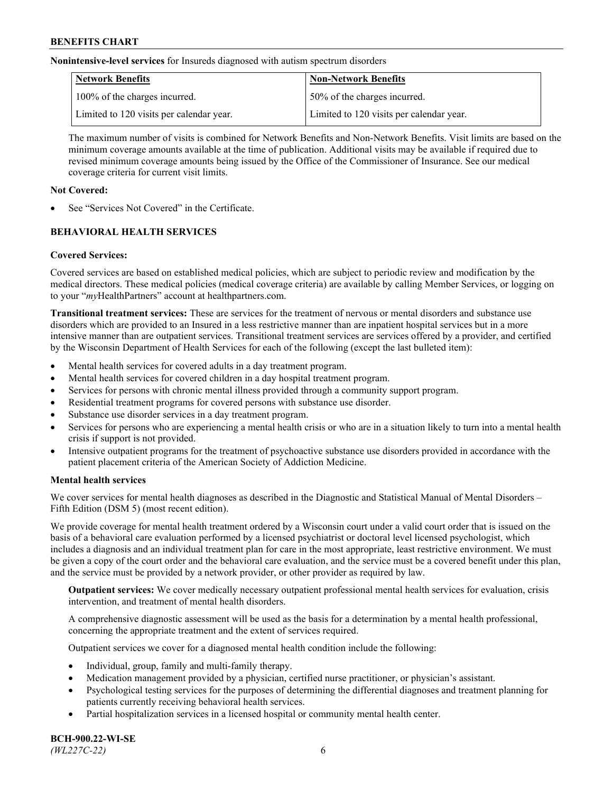**Nonintensive-level services** for Insureds diagnosed with autism spectrum disorders

| Network Benefits                         | <b>Non-Network Benefits</b>              |
|------------------------------------------|------------------------------------------|
| 100% of the charges incurred.            | 50% of the charges incurred.             |
| Limited to 120 visits per calendar year. | Limited to 120 visits per calendar year. |

The maximum number of visits is combined for Network Benefits and Non-Network Benefits. Visit limits are based on the minimum coverage amounts available at the time of publication. Additional visits may be available if required due to revised minimum coverage amounts being issued by the Office of the Commissioner of Insurance. See our medical coverage criteria for current visit limits.

# **Not Covered:**

See "Services Not Covered" in the Certificate.

# **BEHAVIORAL HEALTH SERVICES**

## **Covered Services:**

Covered services are based on established medical policies, which are subject to periodic review and modification by the medical directors. These medical policies (medical coverage criteria) are available by calling Member Services, or logging on to your "*my*HealthPartners" account at [healthpartners.com.](https://www.healthpartners.com/hp/index.html)

**Transitional treatment services:** These are services for the treatment of nervous or mental disorders and substance use disorders which are provided to an Insured in a less restrictive manner than are inpatient hospital services but in a more intensive manner than are outpatient services. Transitional treatment services are services offered by a provider, and certified by the Wisconsin Department of Health Services for each of the following (except the last bulleted item):

- Mental health services for covered adults in a day treatment program.
- Mental health services for covered children in a day hospital treatment program.
- Services for persons with chronic mental illness provided through a community support program.
- Residential treatment programs for covered persons with substance use disorder.
- Substance use disorder services in a day treatment program.
- Services for persons who are experiencing a mental health crisis or who are in a situation likely to turn into a mental health crisis if support is not provided.
- Intensive outpatient programs for the treatment of psychoactive substance use disorders provided in accordance with the patient placement criteria of the American Society of Addiction Medicine.

## **Mental health services**

We cover services for mental health diagnoses as described in the Diagnostic and Statistical Manual of Mental Disorders – Fifth Edition (DSM 5) (most recent edition).

We provide coverage for mental health treatment ordered by a Wisconsin court under a valid court order that is issued on the basis of a behavioral care evaluation performed by a licensed psychiatrist or doctoral level licensed psychologist, which includes a diagnosis and an individual treatment plan for care in the most appropriate, least restrictive environment. We must be given a copy of the court order and the behavioral care evaluation, and the service must be a covered benefit under this plan, and the service must be provided by a network provider, or other provider as required by law.

**Outpatient services:** We cover medically necessary outpatient professional mental health services for evaluation, crisis intervention, and treatment of mental health disorders.

A comprehensive diagnostic assessment will be used as the basis for a determination by a mental health professional, concerning the appropriate treatment and the extent of services required.

Outpatient services we cover for a diagnosed mental health condition include the following:

- Individual, group, family and multi-family therapy.
- Medication management provided by a physician, certified nurse practitioner, or physician's assistant.
- Psychological testing services for the purposes of determining the differential diagnoses and treatment planning for patients currently receiving behavioral health services.
- Partial hospitalization services in a licensed hospital or community mental health center.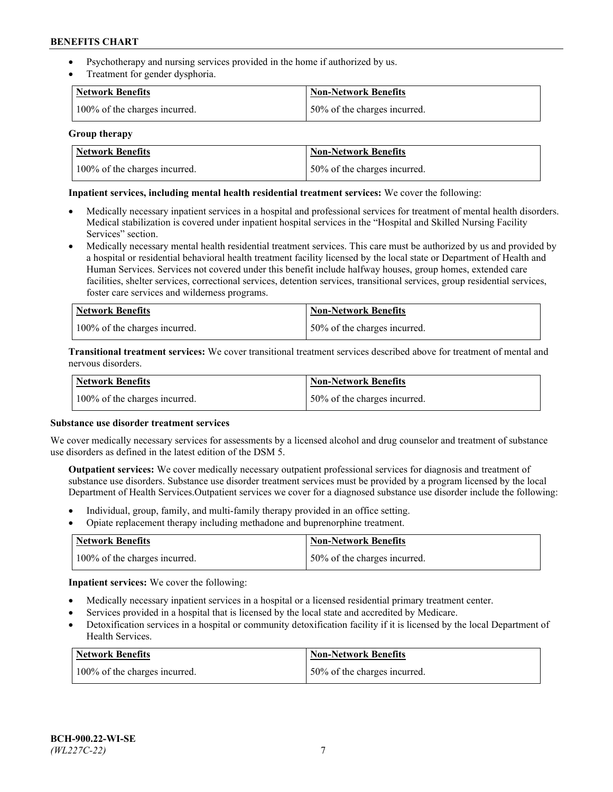- Psychotherapy and nursing services provided in the home if authorized by us.
- Treatment for gender dysphoria.

| <b>Network Benefits</b>       | <b>Non-Network Benefits</b>  |
|-------------------------------|------------------------------|
| 100% of the charges incurred. | 50% of the charges incurred. |

### **Group therapy**

| Network Benefits              | Non-Network Benefits          |
|-------------------------------|-------------------------------|
| 100% of the charges incurred. | 150% of the charges incurred. |

### **Inpatient services, including mental health residential treatment services:** We cover the following:

- Medically necessary inpatient services in a hospital and professional services for treatment of mental health disorders. Medical stabilization is covered under inpatient hospital services in the "Hospital and Skilled Nursing Facility Services" section.
- Medically necessary mental health residential treatment services. This care must be authorized by us and provided by a hospital or residential behavioral health treatment facility licensed by the local state or Department of Health and Human Services. Services not covered under this benefit include halfway houses, group homes, extended care facilities, shelter services, correctional services, detention services, transitional services, group residential services, foster care services and wilderness programs.

| <b>Network Benefits</b>       | Non-Network Benefits         |
|-------------------------------|------------------------------|
| 100% of the charges incurred. | 50% of the charges incurred. |

**Transitional treatment services:** We cover transitional treatment services described above for treatment of mental and nervous disorders.

| <b>Network Benefits</b>       | <b>Non-Network Benefits</b>  |
|-------------------------------|------------------------------|
| 100% of the charges incurred. | 50% of the charges incurred. |

#### **Substance use disorder treatment services**

We cover medically necessary services for assessments by a licensed alcohol and drug counselor and treatment of substance use disorders as defined in the latest edition of the DSM 5.

**Outpatient services:** We cover medically necessary outpatient professional services for diagnosis and treatment of substance use disorders. Substance use disorder treatment services must be provided by a program licensed by the local Department of Health Services.Outpatient services we cover for a diagnosed substance use disorder include the following:

- Individual, group, family, and multi-family therapy provided in an office setting.
- Opiate replacement therapy including methadone and buprenorphine treatment.

| Network Benefits              | Non-Network Benefits         |
|-------------------------------|------------------------------|
| 100% of the charges incurred. | 50% of the charges incurred. |

**Inpatient services:** We cover the following:

- Medically necessary inpatient services in a hospital or a licensed residential primary treatment center.
- Services provided in a hospital that is licensed by the local state and accredited by Medicare.
- Detoxification services in a hospital or community detoxification facility if it is licensed by the local Department of Health Services.

| Network Benefits              | Non-Network Benefits         |
|-------------------------------|------------------------------|
| 100% of the charges incurred. | 50% of the charges incurred. |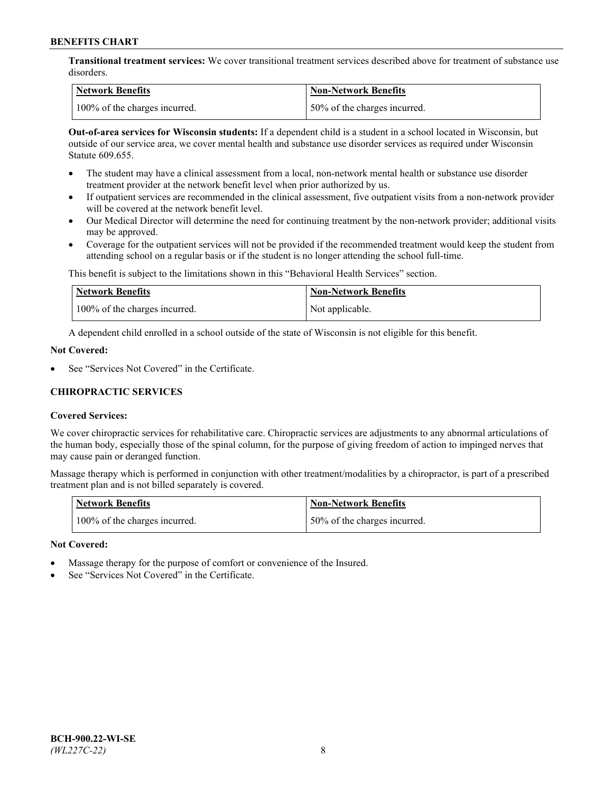**Transitional treatment services:** We cover transitional treatment services described above for treatment of substance use disorders.

| Network Benefits              | Non-Network Benefits          |
|-------------------------------|-------------------------------|
| 100% of the charges incurred. | 150% of the charges incurred. |

**Out-of-area services for Wisconsin students:** If a dependent child is a student in a school located in Wisconsin, but outside of our service area, we cover mental health and substance use disorder services as required under Wisconsin Statute 609.655.

- The student may have a clinical assessment from a local, non-network mental health or substance use disorder treatment provider at the network benefit level when prior authorized by us.
- If outpatient services are recommended in the clinical assessment, five outpatient visits from a non-network provider will be covered at the network benefit level.
- Our Medical Director will determine the need for continuing treatment by the non-network provider; additional visits may be approved.
- Coverage for the outpatient services will not be provided if the recommended treatment would keep the student from attending school on a regular basis or if the student is no longer attending the school full-time.

This benefit is subject to the limitations shown in this "Behavioral Health Services" section.

| Network Benefits              | <b>Non-Network Benefits</b> |
|-------------------------------|-----------------------------|
| 100% of the charges incurred. | Not applicable.             |

A dependent child enrolled in a school outside of the state of Wisconsin is not eligible for this benefit.

### **Not Covered:**

See "Services Not Covered" in the Certificate.

# **CHIROPRACTIC SERVICES**

## **Covered Services:**

We cover chiropractic services for rehabilitative care. Chiropractic services are adjustments to any abnormal articulations of the human body, especially those of the spinal column, for the purpose of giving freedom of action to impinged nerves that may cause pain or deranged function.

Massage therapy which is performed in conjunction with other treatment/modalities by a chiropractor, is part of a prescribed treatment plan and is not billed separately is covered.

| Network Benefits              | <b>Non-Network Benefits</b>   |
|-------------------------------|-------------------------------|
| 100% of the charges incurred. | 150% of the charges incurred. |

#### **Not Covered:**

- Massage therapy for the purpose of comfort or convenience of the Insured.
- See "Services Not Covered" in the Certificate.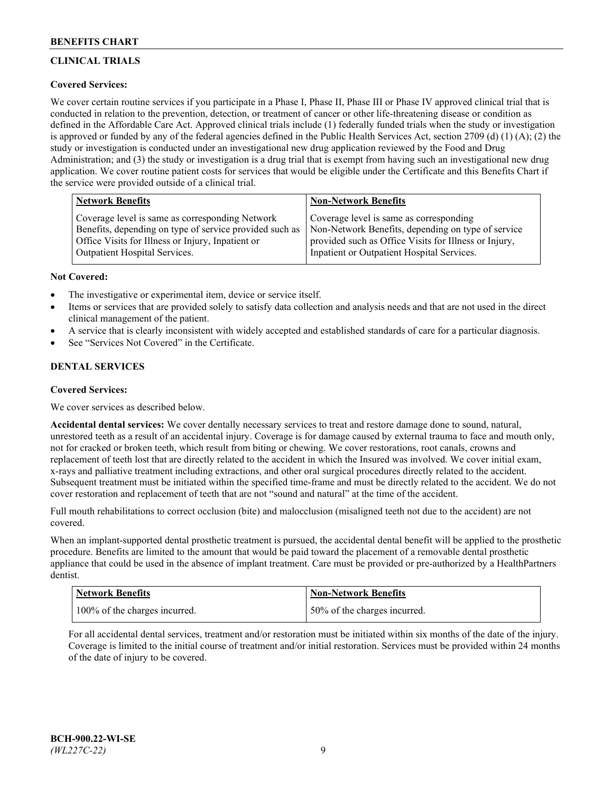# **CLINICAL TRIALS**

# **Covered Services:**

We cover certain routine services if you participate in a Phase I, Phase II, Phase III or Phase IV approved clinical trial that is conducted in relation to the prevention, detection, or treatment of cancer or other life-threatening disease or condition as defined in the Affordable Care Act. Approved clinical trials include (1) federally funded trials when the study or investigation is approved or funded by any of the federal agencies defined in the Public Health Services Act, section 2709 (d) (1) (A); (2) the study or investigation is conducted under an investigational new drug application reviewed by the Food and Drug Administration; and (3) the study or investigation is a drug trial that is exempt from having such an investigational new drug application. We cover routine patient costs for services that would be eligible under the Certificate and this Benefits Chart if the service were provided outside of a clinical trial.

| <b>Network Benefits</b>                                 | <b>Non-Network Benefits</b>                           |
|---------------------------------------------------------|-------------------------------------------------------|
| Coverage level is same as corresponding Network         | Coverage level is same as corresponding               |
| Benefits, depending on type of service provided such as | Non-Network Benefits, depending on type of service    |
| Office Visits for Illness or Injury, Inpatient or       | provided such as Office Visits for Illness or Injury, |
| Outpatient Hospital Services.                           | Inpatient or Outpatient Hospital Services.            |

## **Not Covered:**

- The investigative or experimental item, device or service itself.
- Items or services that are provided solely to satisfy data collection and analysis needs and that are not used in the direct clinical management of the patient.
- A service that is clearly inconsistent with widely accepted and established standards of care for a particular diagnosis.
- See "Services Not Covered" in the Certificate.

# **DENTAL SERVICES**

## **Covered Services:**

We cover services as described below.

**Accidental dental services:** We cover dentally necessary services to treat and restore damage done to sound, natural, unrestored teeth as a result of an accidental injury. Coverage is for damage caused by external trauma to face and mouth only, not for cracked or broken teeth, which result from biting or chewing. We cover restorations, root canals, crowns and replacement of teeth lost that are directly related to the accident in which the Insured was involved. We cover initial exam, x-rays and palliative treatment including extractions, and other oral surgical procedures directly related to the accident. Subsequent treatment must be initiated within the specified time-frame and must be directly related to the accident. We do not cover restoration and replacement of teeth that are not "sound and natural" at the time of the accident.

Full mouth rehabilitations to correct occlusion (bite) and malocclusion (misaligned teeth not due to the accident) are not covered.

When an implant-supported dental prosthetic treatment is pursued, the accidental dental benefit will be applied to the prosthetic procedure. Benefits are limited to the amount that would be paid toward the placement of a removable dental prosthetic appliance that could be used in the absence of implant treatment. Care must be provided or pre-authorized by a HealthPartners dentist.

| <b>Network Benefits</b>       | <b>Non-Network Benefits</b>  |
|-------------------------------|------------------------------|
| 100% of the charges incurred. | 50% of the charges incurred. |

For all accidental dental services, treatment and/or restoration must be initiated within six months of the date of the injury. Coverage is limited to the initial course of treatment and/or initial restoration. Services must be provided within 24 months of the date of injury to be covered.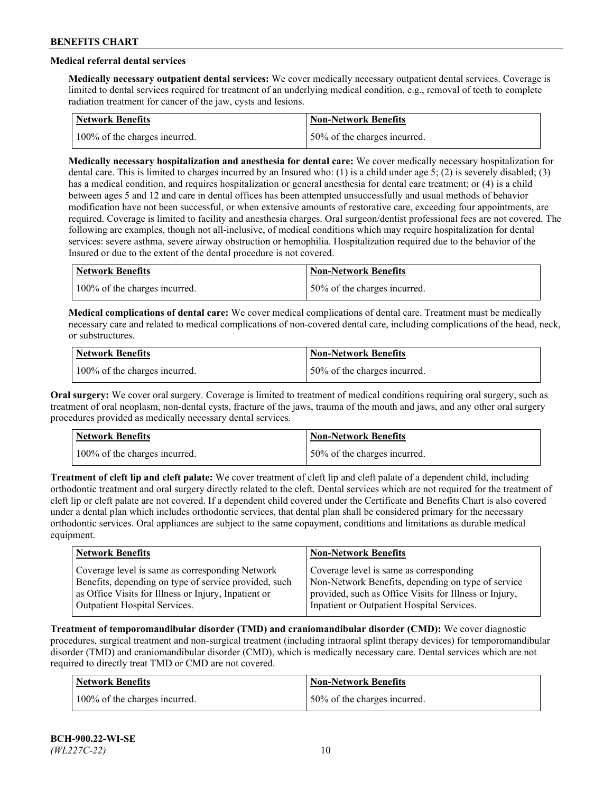# **Medical referral dental services**

**Medically necessary outpatient dental services:** We cover medically necessary outpatient dental services. Coverage is limited to dental services required for treatment of an underlying medical condition, e.g., removal of teeth to complete radiation treatment for cancer of the jaw, cysts and lesions.

| Network Benefits              | <b>Non-Network Benefits</b>  |
|-------------------------------|------------------------------|
| 100% of the charges incurred. | 50% of the charges incurred. |

**Medically necessary hospitalization and anesthesia for dental care:** We cover medically necessary hospitalization for dental care. This is limited to charges incurred by an Insured who: (1) is a child under age 5; (2) is severely disabled; (3) has a medical condition, and requires hospitalization or general anesthesia for dental care treatment; or (4) is a child between ages 5 and 12 and care in dental offices has been attempted unsuccessfully and usual methods of behavior modification have not been successful, or when extensive amounts of restorative care, exceeding four appointments, are required. Coverage is limited to facility and anesthesia charges. Oral surgeon/dentist professional fees are not covered. The following are examples, though not all-inclusive, of medical conditions which may require hospitalization for dental services: severe asthma, severe airway obstruction or hemophilia. Hospitalization required due to the behavior of the Insured or due to the extent of the dental procedure is not covered.

| Network Benefits              | <b>Non-Network Benefits</b>  |
|-------------------------------|------------------------------|
| 100% of the charges incurred. | 50% of the charges incurred. |

**Medical complications of dental care:** We cover medical complications of dental care. Treatment must be medically necessary care and related to medical complications of non-covered dental care, including complications of the head, neck, or substructures.

| Network Benefits              | Non-Network Benefits         |
|-------------------------------|------------------------------|
| 100% of the charges incurred. | 50% of the charges incurred. |

**Oral surgery:** We cover oral surgery. Coverage is limited to treatment of medical conditions requiring oral surgery, such as treatment of oral neoplasm, non-dental cysts, fracture of the jaws, trauma of the mouth and jaws, and any other oral surgery procedures provided as medically necessary dental services.

| <b>Network Benefits</b>       | <b>Non-Network Benefits</b>   |
|-------------------------------|-------------------------------|
| 100% of the charges incurred. | 150% of the charges incurred. |

**Treatment of cleft lip and cleft palate:** We cover treatment of cleft lip and cleft palate of a dependent child, including orthodontic treatment and oral surgery directly related to the cleft. Dental services which are not required for the treatment of cleft lip or cleft palate are not covered. If a dependent child covered under the Certificate and Benefits Chart is also covered under a dental plan which includes orthodontic services, that dental plan shall be considered primary for the necessary orthodontic services. Oral appliances are subject to the same copayment, conditions and limitations as durable medical equipment.

| <b>Network Benefits</b>                               | <b>Non-Network Benefits</b>                            |
|-------------------------------------------------------|--------------------------------------------------------|
| Coverage level is same as corresponding Network       | Coverage level is same as corresponding                |
| Benefits, depending on type of service provided, such | Non-Network Benefits, depending on type of service     |
| as Office Visits for Illness or Injury, Inpatient or  | provided, such as Office Visits for Illness or Injury, |
| Outpatient Hospital Services.                         | Inpatient or Outpatient Hospital Services.             |

**Treatment of temporomandibular disorder (TMD) and craniomandibular disorder (CMD):** We cover diagnostic procedures, surgical treatment and non-surgical treatment (including intraoral splint therapy devices) for temporomandibular disorder (TMD) and craniomandibular disorder (CMD), which is medically necessary care. Dental services which are not required to directly treat TMD or CMD are not covered.

| <b>Network Benefits</b>       | <b>Non-Network Benefits</b>   |
|-------------------------------|-------------------------------|
| 100% of the charges incurred. | 150% of the charges incurred. |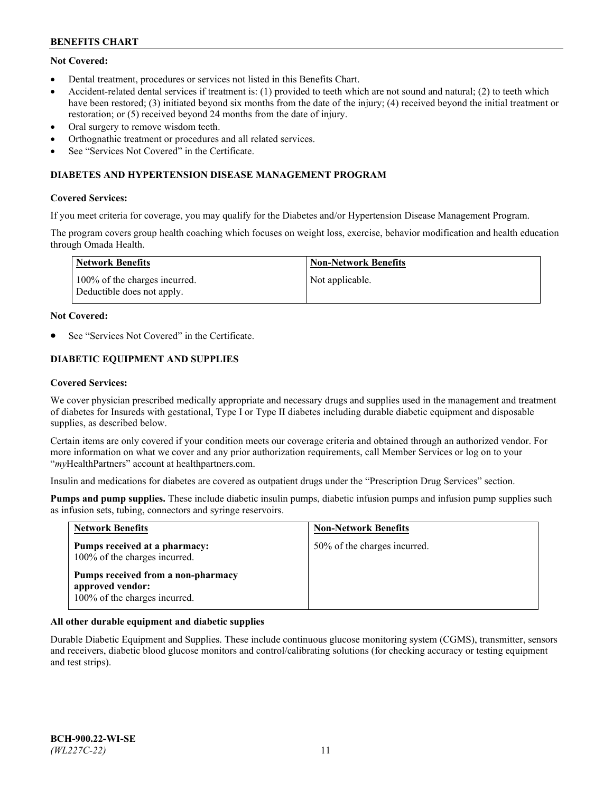# **Not Covered:**

- Dental treatment, procedures or services not listed in this Benefits Chart.
- Accident-related dental services if treatment is: (1) provided to teeth which are not sound and natural; (2) to teeth which have been restored; (3) initiated beyond six months from the date of the injury; (4) received beyond the initial treatment or restoration; or (5) received beyond 24 months from the date of injury.
- Oral surgery to remove wisdom teeth.
- Orthognathic treatment or procedures and all related services.
- See "Services Not Covered" in the Certificate.

### **DIABETES AND HYPERTENSION DISEASE MANAGEMENT PROGRAM**

### **Covered Services:**

If you meet criteria for coverage, you may qualify for the Diabetes and/or Hypertension Disease Management Program.

The program covers group health coaching which focuses on weight loss, exercise, behavior modification and health education through Omada Health.

| Network Benefits                                            | Non-Network Benefits |
|-------------------------------------------------------------|----------------------|
| 100% of the charges incurred.<br>Deductible does not apply. | Not applicable.      |

#### **Not Covered:**

See "Services Not Covered" in the Certificate.

# **DIABETIC EQUIPMENT AND SUPPLIES**

### **Covered Services:**

We cover physician prescribed medically appropriate and necessary drugs and supplies used in the management and treatment of diabetes for Insureds with gestational, Type I or Type II diabetes including durable diabetic equipment and disposable supplies, as described below.

Certain items are only covered if your condition meets our coverage criteria and obtained through an authorized vendor. For more information on what we cover and any prior authorization requirements, call Member Services or log on to your "*my*HealthPartners" account at [healthpartners.com.](http://www.healthpartners.com/)

Insulin and medications for diabetes are covered as outpatient drugs under the "Prescription Drug Services" section.

**Pumps and pump supplies.** These include diabetic insulin pumps, diabetic infusion pumps and infusion pump supplies such as infusion sets, tubing, connectors and syringe reservoirs.

| <b>Network Benefits</b>                                                                 | <b>Non-Network Benefits</b>  |
|-----------------------------------------------------------------------------------------|------------------------------|
| Pumps received at a pharmacy:<br>100% of the charges incurred.                          | 50% of the charges incurred. |
| Pumps received from a non-pharmacy<br>approved vendor:<br>100% of the charges incurred. |                              |

## **All other durable equipment and diabetic supplies**

Durable Diabetic Equipment and Supplies. These include continuous glucose monitoring system (CGMS), transmitter, sensors and receivers, diabetic blood glucose monitors and control/calibrating solutions (for checking accuracy or testing equipment and test strips).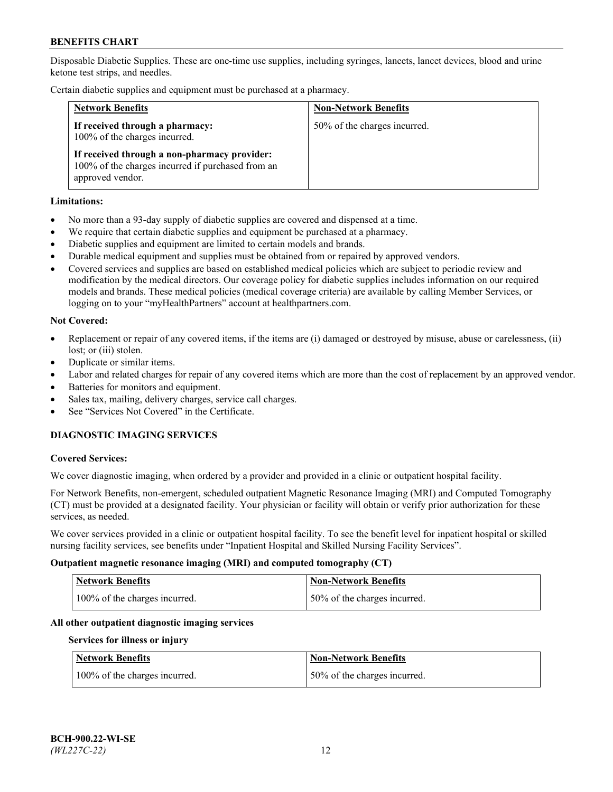Disposable Diabetic Supplies. These are one-time use supplies, including syringes, lancets, lancet devices, blood and urine ketone test strips, and needles.

Certain diabetic supplies and equipment must be purchased at a pharmacy.

| <b>Network Benefits</b>                                                                                               | <b>Non-Network Benefits</b>  |
|-----------------------------------------------------------------------------------------------------------------------|------------------------------|
| If received through a pharmacy:<br>100% of the charges incurred.                                                      | 50% of the charges incurred. |
| If received through a non-pharmacy provider:<br>100% of the charges incurred if purchased from an<br>approved vendor. |                              |

### **Limitations:**

- No more than a 93-day supply of diabetic supplies are covered and dispensed at a time.
- We require that certain diabetic supplies and equipment be purchased at a pharmacy.
- Diabetic supplies and equipment are limited to certain models and brands.
- Durable medical equipment and supplies must be obtained from or repaired by approved vendors.
- Covered services and supplies are based on established medical policies which are subject to periodic review and modification by the medical directors. Our coverage policy for diabetic supplies includes information on our required models and brands. These medical policies (medical coverage criteria) are available by calling Member Services, or logging on to your "myHealthPartners" account at [healthpartners.com.](http://www.healthpartners.com/)

### **Not Covered:**

- Replacement or repair of any covered items, if the items are (i) damaged or destroyed by misuse, abuse or carelessness, (ii) lost; or (iii) stolen.
- Duplicate or similar items.
- Labor and related charges for repair of any covered items which are more than the cost of replacement by an approved vendor.
- Batteries for monitors and equipment.
- Sales tax, mailing, delivery charges, service call charges.
- See "Services Not Covered" in the Certificate.

# **DIAGNOSTIC IMAGING SERVICES**

#### **Covered Services:**

We cover diagnostic imaging, when ordered by a provider and provided in a clinic or outpatient hospital facility.

For Network Benefits, non-emergent, scheduled outpatient Magnetic Resonance Imaging (MRI) and Computed Tomography (CT) must be provided at a designated facility. Your physician or facility will obtain or verify prior authorization for these services, as needed.

We cover services provided in a clinic or outpatient hospital facility. To see the benefit level for inpatient hospital or skilled nursing facility services, see benefits under "Inpatient Hospital and Skilled Nursing Facility Services".

#### **Outpatient magnetic resonance imaging (MRI) and computed tomography (CT)**

| <b>Network Benefits</b>       | <b>Non-Network Benefits</b>  |
|-------------------------------|------------------------------|
| 100% of the charges incurred. | 50% of the charges incurred. |

#### **All other outpatient diagnostic imaging services**

#### **Services for illness or injury**

| <b>Network Benefits</b>       | <b>Non-Network Benefits</b>  |
|-------------------------------|------------------------------|
| 100% of the charges incurred. | 50% of the charges incurred. |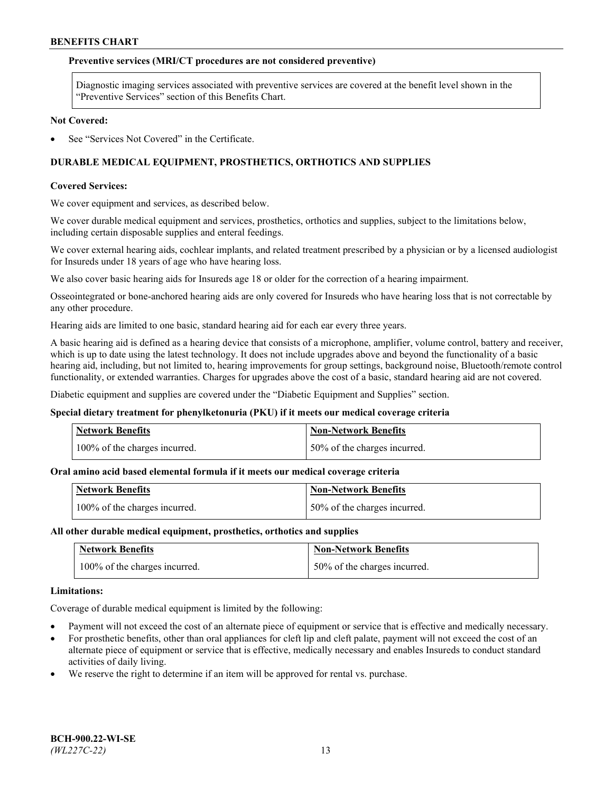### **Preventive services (MRI/CT procedures are not considered preventive)**

Diagnostic imaging services associated with preventive services are covered at the benefit level shown in the "Preventive Services" section of this Benefits Chart.

#### **Not Covered:**

See "Services Not Covered" in the Certificate.

# **DURABLE MEDICAL EQUIPMENT, PROSTHETICS, ORTHOTICS AND SUPPLIES**

### **Covered Services:**

We cover equipment and services, as described below.

We cover durable medical equipment and services, prosthetics, orthotics and supplies, subject to the limitations below, including certain disposable supplies and enteral feedings.

We cover external hearing aids, cochlear implants, and related treatment prescribed by a physician or by a licensed audiologist for Insureds under 18 years of age who have hearing loss.

We also cover basic hearing aids for Insureds age 18 or older for the correction of a hearing impairment.

Osseointegrated or bone-anchored hearing aids are only covered for Insureds who have hearing loss that is not correctable by any other procedure.

Hearing aids are limited to one basic, standard hearing aid for each ear every three years.

A basic hearing aid is defined as a hearing device that consists of a microphone, amplifier, volume control, battery and receiver, which is up to date using the latest technology. It does not include upgrades above and beyond the functionality of a basic hearing aid, including, but not limited to, hearing improvements for group settings, background noise, Bluetooth/remote control functionality, or extended warranties. Charges for upgrades above the cost of a basic, standard hearing aid are not covered.

Diabetic equipment and supplies are covered under the "Diabetic Equipment and Supplies" section.

#### **Special dietary treatment for phenylketonuria (PKU) if it meets our medical coverage criteria**

| <b>Network Benefits</b>       | <b>Non-Network Benefits</b>  |
|-------------------------------|------------------------------|
| 100% of the charges incurred. | 50% of the charges incurred. |

## **Oral amino acid based elemental formula if it meets our medical coverage criteria**

| <b>Network Benefits</b>       | Non-Network Benefits         |
|-------------------------------|------------------------------|
| 100% of the charges incurred. | 50% of the charges incurred. |

#### **All other durable medical equipment, prosthetics, orthotics and supplies**

| <b>Network Benefits</b>       | <b>Non-Network Benefits</b>  |
|-------------------------------|------------------------------|
| 100% of the charges incurred. | 50% of the charges incurred. |

#### **Limitations:**

Coverage of durable medical equipment is limited by the following:

- Payment will not exceed the cost of an alternate piece of equipment or service that is effective and medically necessary.
- For prosthetic benefits, other than oral appliances for cleft lip and cleft palate, payment will not exceed the cost of an alternate piece of equipment or service that is effective, medically necessary and enables Insureds to conduct standard activities of daily living.
- We reserve the right to determine if an item will be approved for rental vs. purchase.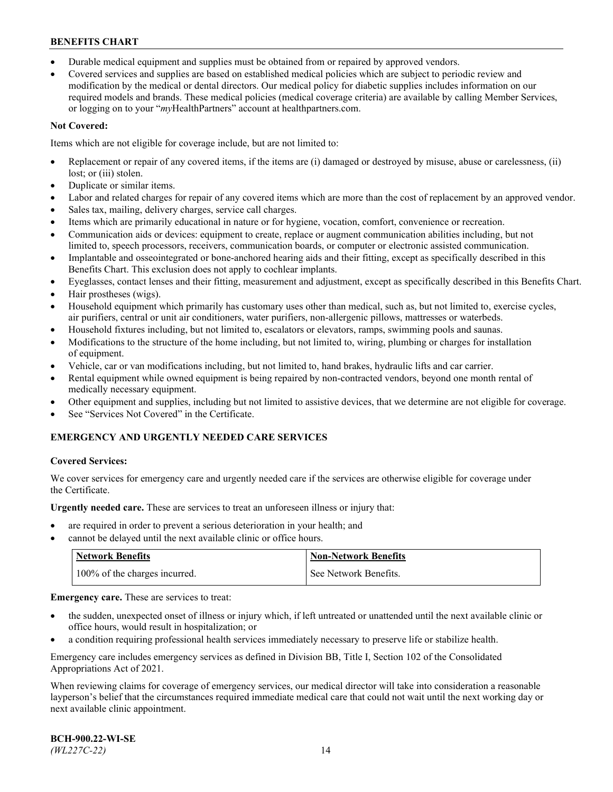- Durable medical equipment and supplies must be obtained from or repaired by approved vendors.
- Covered services and supplies are based on established medical policies which are subject to periodic review and modification by the medical or dental directors. Our medical policy for diabetic supplies includes information on our required models and brands. These medical policies (medical coverage criteria) are available by calling Member Services, or logging on to your "*my*HealthPartners" account a[t healthpartners.com.](http://www.healthpartners.com/)

### **Not Covered:**

Items which are not eligible for coverage include, but are not limited to:

- Replacement or repair of any covered items, if the items are (i) damaged or destroyed by misuse, abuse or carelessness, (ii) lost; or (iii) stolen.
- Duplicate or similar items.
- Labor and related charges for repair of any covered items which are more than the cost of replacement by an approved vendor.
- Sales tax, mailing, delivery charges, service call charges.
- Items which are primarily educational in nature or for hygiene, vocation, comfort, convenience or recreation.
- Communication aids or devices: equipment to create, replace or augment communication abilities including, but not limited to, speech processors, receivers, communication boards, or computer or electronic assisted communication.
- Implantable and osseointegrated or bone-anchored hearing aids and their fitting, except as specifically described in this Benefits Chart. This exclusion does not apply to cochlear implants.
- Eyeglasses, contact lenses and their fitting, measurement and adjustment, except as specifically described in this Benefits Chart.
- Hair prostheses (wigs).
- Household equipment which primarily has customary uses other than medical, such as, but not limited to, exercise cycles, air purifiers, central or unit air conditioners, water purifiers, non-allergenic pillows, mattresses or waterbeds.
- Household fixtures including, but not limited to, escalators or elevators, ramps, swimming pools and saunas.
- Modifications to the structure of the home including, but not limited to, wiring, plumbing or charges for installation of equipment.
- Vehicle, car or van modifications including, but not limited to, hand brakes, hydraulic lifts and car carrier.
- Rental equipment while owned equipment is being repaired by non-contracted vendors, beyond one month rental of medically necessary equipment.
- Other equipment and supplies, including but not limited to assistive devices, that we determine are not eligible for coverage.
- See "Services Not Covered" in the Certificate.

## **EMERGENCY AND URGENTLY NEEDED CARE SERVICES**

#### **Covered Services:**

We cover services for emergency care and urgently needed care if the services are otherwise eligible for coverage under the Certificate.

**Urgently needed care.** These are services to treat an unforeseen illness or injury that:

- are required in order to prevent a serious deterioration in your health; and
- cannot be delayed until the next available clinic or office hours.

| <b>Network Benefits</b>       | <b>Non-Network Benefits</b> |
|-------------------------------|-----------------------------|
| 100% of the charges incurred. | See Network Benefits.       |

**Emergency care.** These are services to treat:

- the sudden, unexpected onset of illness or injury which, if left untreated or unattended until the next available clinic or office hours, would result in hospitalization; or
- a condition requiring professional health services immediately necessary to preserve life or stabilize health.

Emergency care includes emergency services as defined in Division BB, Title I, Section 102 of the Consolidated Appropriations Act of 2021.

When reviewing claims for coverage of emergency services, our medical director will take into consideration a reasonable layperson's belief that the circumstances required immediate medical care that could not wait until the next working day or next available clinic appointment.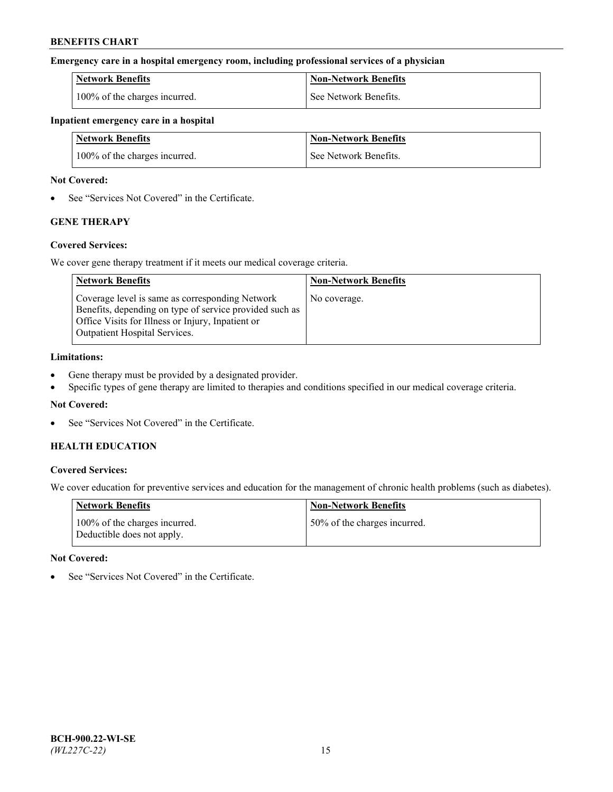### **Emergency care in a hospital emergency room, including professional services of a physician**

| <b>Network Benefits</b>       | <b>Non-Network Benefits</b> |
|-------------------------------|-----------------------------|
| 100% of the charges incurred. | See Network Benefits.       |

#### **Inpatient emergency care in a hospital**

| <b>Network Benefits</b>       | <b>Non-Network Benefits</b> |
|-------------------------------|-----------------------------|
| 100% of the charges incurred. | See Network Benefits.       |

### **Not Covered:**

• See "Services Not Covered" in the Certificate.

# **GENE THERAPY**

## **Covered Services:**

We cover gene therapy treatment if it meets our medical coverage criteria.

| <b>Network Benefits</b>                                                                                                                                                                          | <b>Non-Network Benefits</b> |
|--------------------------------------------------------------------------------------------------------------------------------------------------------------------------------------------------|-----------------------------|
| Coverage level is same as corresponding Network<br>Benefits, depending on type of service provided such as<br>Office Visits for Illness or Injury, Inpatient or<br>Outpatient Hospital Services. | No coverage.                |

### **Limitations:**

- Gene therapy must be provided by a designated provider.
- Specific types of gene therapy are limited to therapies and conditions specified in our medical coverage criteria.

# **Not Covered:**

See "Services Not Covered" in the Certificate.

# **HEALTH EDUCATION**

## **Covered Services:**

We cover education for preventive services and education for the management of chronic health problems (such as diabetes).

| <b>Network Benefits</b>                                     | <b>Non-Network Benefits</b>  |
|-------------------------------------------------------------|------------------------------|
| 100% of the charges incurred.<br>Deductible does not apply. | 50% of the charges incurred. |

#### **Not Covered:**

See "Services Not Covered" in the Certificate.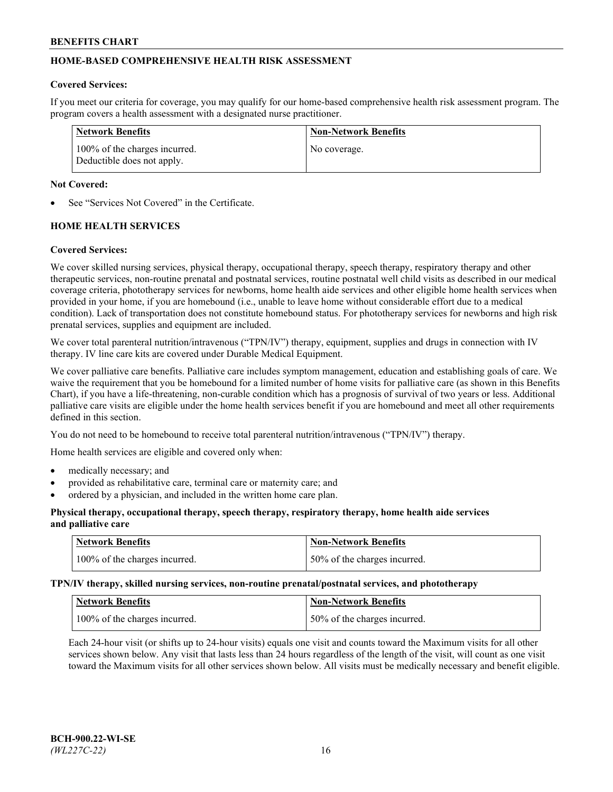# **HOME-BASED COMPREHENSIVE HEALTH RISK ASSESSMENT**

#### **Covered Services:**

If you meet our criteria for coverage, you may qualify for our home-based comprehensive health risk assessment program. The program covers a health assessment with a designated nurse practitioner.

| Network Benefits                                            | <b>Non-Network Benefits</b> |
|-------------------------------------------------------------|-----------------------------|
| 100% of the charges incurred.<br>Deductible does not apply. | No coverage.                |

### **Not Covered:**

See "Services Not Covered" in the Certificate.

# **HOME HEALTH SERVICES**

### **Covered Services:**

We cover skilled nursing services, physical therapy, occupational therapy, speech therapy, respiratory therapy and other therapeutic services, non-routine prenatal and postnatal services, routine postnatal well child visits as described in our medical coverage criteria, phototherapy services for newborns, home health aide services and other eligible home health services when provided in your home, if you are homebound (i.e., unable to leave home without considerable effort due to a medical condition). Lack of transportation does not constitute homebound status. For phototherapy services for newborns and high risk prenatal services, supplies and equipment are included.

We cover total parenteral nutrition/intravenous ("TPN/IV") therapy, equipment, supplies and drugs in connection with IV therapy. IV line care kits are covered under Durable Medical Equipment.

We cover palliative care benefits. Palliative care includes symptom management, education and establishing goals of care. We waive the requirement that you be homebound for a limited number of home visits for palliative care (as shown in this Benefits Chart), if you have a life-threatening, non-curable condition which has a prognosis of survival of two years or less. Additional palliative care visits are eligible under the home health services benefit if you are homebound and meet all other requirements defined in this section.

You do not need to be homebound to receive total parenteral nutrition/intravenous ("TPN/IV") therapy.

Home health services are eligible and covered only when:

- medically necessary; and
- provided as rehabilitative care, terminal care or maternity care; and
- ordered by a physician, and included in the written home care plan.

### **Physical therapy, occupational therapy, speech therapy, respiratory therapy, home health aide services and palliative care**

| Network Benefits              | <b>Non-Network Benefits</b>  |
|-------------------------------|------------------------------|
| 100% of the charges incurred. | 50% of the charges incurred. |

**TPN/IV therapy, skilled nursing services, non-routine prenatal/postnatal services, and phototherapy**

| Network Benefits              | Non-Network Benefits         |
|-------------------------------|------------------------------|
| 100% of the charges incurred. | 50% of the charges incurred. |

Each 24-hour visit (or shifts up to 24-hour visits) equals one visit and counts toward the Maximum visits for all other services shown below. Any visit that lasts less than 24 hours regardless of the length of the visit, will count as one visit toward the Maximum visits for all other services shown below. All visits must be medically necessary and benefit eligible.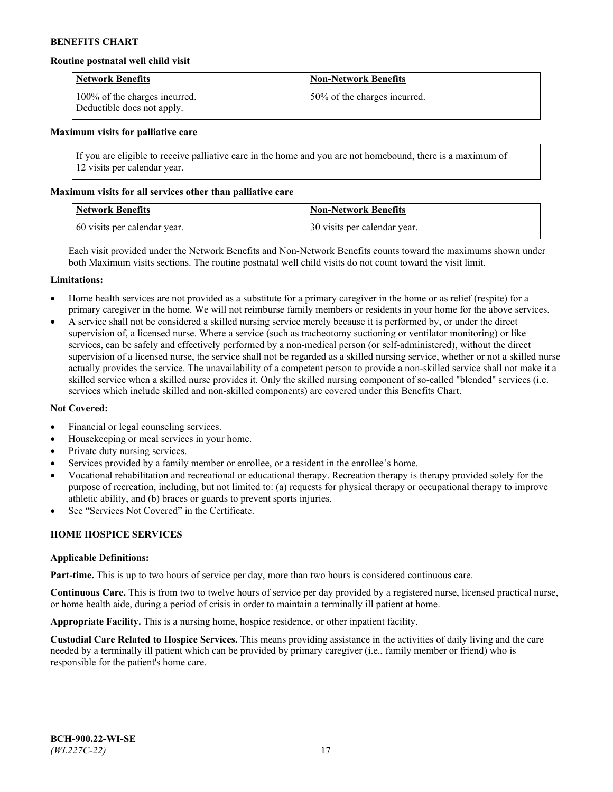## **Routine postnatal well child visit**

| <b>Network Benefits</b>                                     | <b>Non-Network Benefits</b>  |
|-------------------------------------------------------------|------------------------------|
| 100% of the charges incurred.<br>Deductible does not apply. | 50% of the charges incurred. |

#### **Maximum visits for palliative care**

If you are eligible to receive palliative care in the home and you are not homebound, there is a maximum of 12 visits per calendar year.

### **Maximum visits for all services other than palliative care**

| <b>Network Benefits</b>      | <b>Non-Network Benefits</b>  |
|------------------------------|------------------------------|
| 60 visits per calendar year. | 30 visits per calendar year. |

Each visit provided under the Network Benefits and Non-Network Benefits counts toward the maximums shown under both Maximum visits sections. The routine postnatal well child visits do not count toward the visit limit.

#### **Limitations:**

- Home health services are not provided as a substitute for a primary caregiver in the home or as relief (respite) for a primary caregiver in the home. We will not reimburse family members or residents in your home for the above services.
- A service shall not be considered a skilled nursing service merely because it is performed by, or under the direct supervision of, a licensed nurse. Where a service (such as tracheotomy suctioning or ventilator monitoring) or like services, can be safely and effectively performed by a non-medical person (or self-administered), without the direct supervision of a licensed nurse, the service shall not be regarded as a skilled nursing service, whether or not a skilled nurse actually provides the service. The unavailability of a competent person to provide a non-skilled service shall not make it a skilled service when a skilled nurse provides it. Only the skilled nursing component of so-called "blended" services (i.e. services which include skilled and non-skilled components) are covered under this Benefits Chart.

#### **Not Covered:**

- Financial or legal counseling services.
- Housekeeping or meal services in your home.
- Private duty nursing services.
- Services provided by a family member or enrollee, or a resident in the enrollee's home.
- Vocational rehabilitation and recreational or educational therapy. Recreation therapy is therapy provided solely for the purpose of recreation, including, but not limited to: (a) requests for physical therapy or occupational therapy to improve athletic ability, and (b) braces or guards to prevent sports injuries.
- See "Services Not Covered" in the Certificate.

# **HOME HOSPICE SERVICES**

#### **Applicable Definitions:**

**Part-time.** This is up to two hours of service per day, more than two hours is considered continuous care.

**Continuous Care.** This is from two to twelve hours of service per day provided by a registered nurse, licensed practical nurse, or home health aide, during a period of crisis in order to maintain a terminally ill patient at home.

**Appropriate Facility.** This is a nursing home, hospice residence, or other inpatient facility.

**Custodial Care Related to Hospice Services.** This means providing assistance in the activities of daily living and the care needed by a terminally ill patient which can be provided by primary caregiver (i.e., family member or friend) who is responsible for the patient's home care.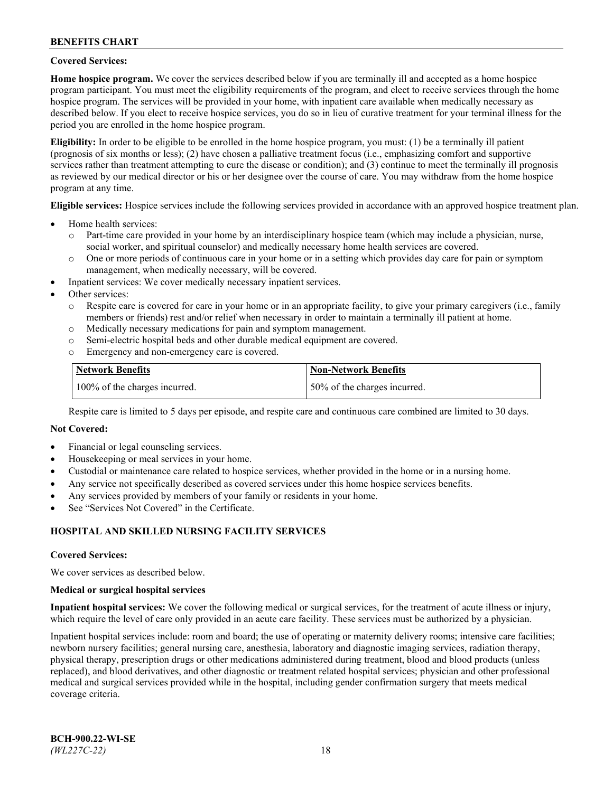### **Covered Services:**

**Home hospice program.** We cover the services described below if you are terminally ill and accepted as a home hospice program participant. You must meet the eligibility requirements of the program, and elect to receive services through the home hospice program. The services will be provided in your home, with inpatient care available when medically necessary as described below. If you elect to receive hospice services, you do so in lieu of curative treatment for your terminal illness for the period you are enrolled in the home hospice program.

**Eligibility:** In order to be eligible to be enrolled in the home hospice program, you must: (1) be a terminally ill patient (prognosis of six months or less); (2) have chosen a palliative treatment focus (i.e., emphasizing comfort and supportive services rather than treatment attempting to cure the disease or condition); and (3) continue to meet the terminally ill prognosis as reviewed by our medical director or his or her designee over the course of care. You may withdraw from the home hospice program at any time.

**Eligible services:** Hospice services include the following services provided in accordance with an approved hospice treatment plan.

- Home health services:
	- o Part-time care provided in your home by an interdisciplinary hospice team (which may include a physician, nurse, social worker, and spiritual counselor) and medically necessary home health services are covered.
	- o One or more periods of continuous care in your home or in a setting which provides day care for pain or symptom management, when medically necessary, will be covered.
- Inpatient services: We cover medically necessary inpatient services.
- Other services:
	- o Respite care is covered for care in your home or in an appropriate facility, to give your primary caregivers (i.e., family members or friends) rest and/or relief when necessary in order to maintain a terminally ill patient at home.
	- o Medically necessary medications for pain and symptom management.
	- o Semi-electric hospital beds and other durable medical equipment are covered.
	- Emergency and non-emergency care is covered.

| Network Benefits              | <b>Non-Network Benefits</b>  |
|-------------------------------|------------------------------|
| 100% of the charges incurred. | 50% of the charges incurred. |

Respite care is limited to 5 days per episode, and respite care and continuous care combined are limited to 30 days.

### **Not Covered:**

- Financial or legal counseling services.
- Housekeeping or meal services in your home.
- Custodial or maintenance care related to hospice services, whether provided in the home or in a nursing home.
- Any service not specifically described as covered services under this home hospice services benefits.
- Any services provided by members of your family or residents in your home.
- See "Services Not Covered" in the Certificate.

## **HOSPITAL AND SKILLED NURSING FACILITY SERVICES**

#### **Covered Services:**

We cover services as described below.

#### **Medical or surgical hospital services**

**Inpatient hospital services:** We cover the following medical or surgical services, for the treatment of acute illness or injury, which require the level of care only provided in an acute care facility. These services must be authorized by a physician.

Inpatient hospital services include: room and board; the use of operating or maternity delivery rooms; intensive care facilities; newborn nursery facilities; general nursing care, anesthesia, laboratory and diagnostic imaging services, radiation therapy, physical therapy, prescription drugs or other medications administered during treatment, blood and blood products (unless replaced), and blood derivatives, and other diagnostic or treatment related hospital services; physician and other professional medical and surgical services provided while in the hospital, including gender confirmation surgery that meets medical coverage criteria.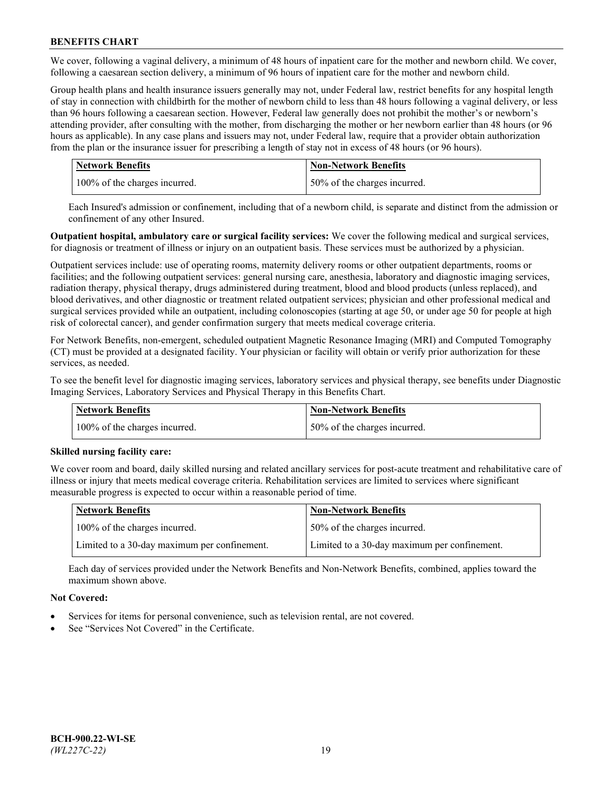We cover, following a vaginal delivery, a minimum of 48 hours of inpatient care for the mother and newborn child. We cover, following a caesarean section delivery, a minimum of 96 hours of inpatient care for the mother and newborn child.

Group health plans and health insurance issuers generally may not, under Federal law, restrict benefits for any hospital length of stay in connection with childbirth for the mother of newborn child to less than 48 hours following a vaginal delivery, or less than 96 hours following a caesarean section. However, Federal law generally does not prohibit the mother's or newborn's attending provider, after consulting with the mother, from discharging the mother or her newborn earlier than 48 hours (or 96 hours as applicable). In any case plans and issuers may not, under Federal law, require that a provider obtain authorization from the plan or the insurance issuer for prescribing a length of stay not in excess of 48 hours (or 96 hours).

| <b>Network Benefits</b>       | <b>Non-Network Benefits</b>  |
|-------------------------------|------------------------------|
| 100% of the charges incurred. | 50% of the charges incurred. |

Each Insured's admission or confinement, including that of a newborn child, is separate and distinct from the admission or confinement of any other Insured.

**Outpatient hospital, ambulatory care or surgical facility services:** We cover the following medical and surgical services, for diagnosis or treatment of illness or injury on an outpatient basis. These services must be authorized by a physician.

Outpatient services include: use of operating rooms, maternity delivery rooms or other outpatient departments, rooms or facilities; and the following outpatient services: general nursing care, anesthesia, laboratory and diagnostic imaging services, radiation therapy, physical therapy, drugs administered during treatment, blood and blood products (unless replaced), and blood derivatives, and other diagnostic or treatment related outpatient services; physician and other professional medical and surgical services provided while an outpatient, including colonoscopies (starting at age 50, or under age 50 for people at high risk of colorectal cancer), and gender confirmation surgery that meets medical coverage criteria.

For Network Benefits, non-emergent, scheduled outpatient Magnetic Resonance Imaging (MRI) and Computed Tomography (CT) must be provided at a designated facility. Your physician or facility will obtain or verify prior authorization for these services, as needed.

To see the benefit level for diagnostic imaging services, laboratory services and physical therapy, see benefits under Diagnostic Imaging Services, Laboratory Services and Physical Therapy in this Benefits Chart.

| <b>Network Benefits</b>       | <b>Non-Network Benefits</b>  |
|-------------------------------|------------------------------|
| 100% of the charges incurred. | 50% of the charges incurred. |

## **Skilled nursing facility care:**

We cover room and board, daily skilled nursing and related ancillary services for post-acute treatment and rehabilitative care of illness or injury that meets medical coverage criteria. Rehabilitation services are limited to services where significant measurable progress is expected to occur within a reasonable period of time.

| Network Benefits                             | <b>Non-Network Benefits</b>                  |
|----------------------------------------------|----------------------------------------------|
| 100% of the charges incurred.                | 50% of the charges incurred.                 |
| Limited to a 30-day maximum per confinement. | Limited to a 30-day maximum per confinement. |

Each day of services provided under the Network Benefits and Non-Network Benefits, combined, applies toward the maximum shown above.

## **Not Covered:**

- Services for items for personal convenience, such as television rental, are not covered.
- See "Services Not Covered" in the Certificate.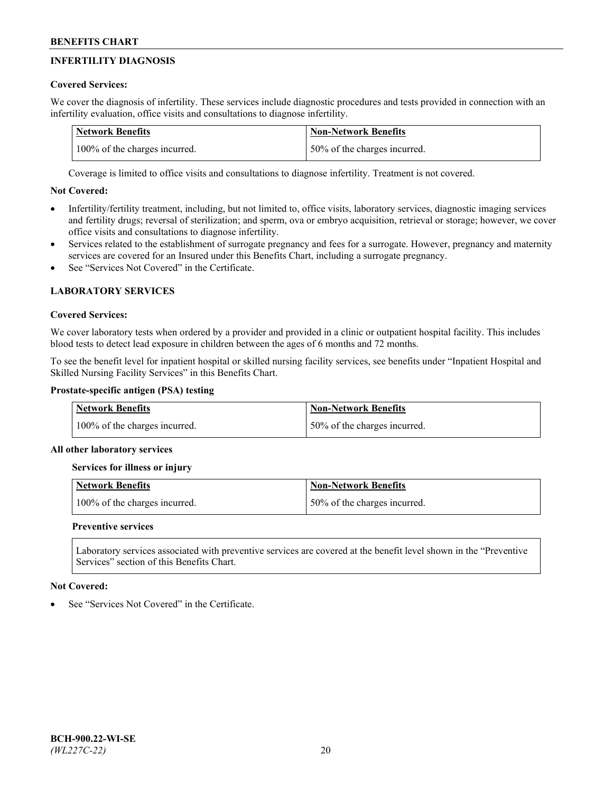# **INFERTILITY DIAGNOSIS**

# **Covered Services:**

We cover the diagnosis of infertility. These services include diagnostic procedures and tests provided in connection with an infertility evaluation, office visits and consultations to diagnose infertility.

| <b>Network Benefits</b>       | <b>Non-Network Benefits</b>  |
|-------------------------------|------------------------------|
| 100% of the charges incurred. | 50% of the charges incurred. |

Coverage is limited to office visits and consultations to diagnose infertility. Treatment is not covered.

# **Not Covered:**

- Infertility/fertility treatment, including, but not limited to, office visits, laboratory services, diagnostic imaging services and fertility drugs; reversal of sterilization; and sperm, ova or embryo acquisition, retrieval or storage; however, we cover office visits and consultations to diagnose infertility.
- Services related to the establishment of surrogate pregnancy and fees for a surrogate. However, pregnancy and maternity services are covered for an Insured under this Benefits Chart, including a surrogate pregnancy.
- See "Services Not Covered" in the Certificate

# **LABORATORY SERVICES**

## **Covered Services:**

We cover laboratory tests when ordered by a provider and provided in a clinic or outpatient hospital facility. This includes blood tests to detect lead exposure in children between the ages of 6 months and 72 months.

To see the benefit level for inpatient hospital or skilled nursing facility services, see benefits under "Inpatient Hospital and Skilled Nursing Facility Services" in this Benefits Chart.

# **Prostate-specific antigen (PSA) testing**

| <b>Network Benefits</b>       | <b>Non-Network Benefits</b>  |
|-------------------------------|------------------------------|
| 100% of the charges incurred. | 50% of the charges incurred. |

## **All other laboratory services**

**Services for illness or injury**

| <b>Network Benefits</b>       | 'Non-Network Benefits        |
|-------------------------------|------------------------------|
| 100% of the charges incurred. | 50% of the charges incurred. |

## **Preventive services**

Laboratory services associated with preventive services are covered at the benefit level shown in the "Preventive Services" section of this Benefits Chart.

## **Not Covered:**

See "Services Not Covered" in the Certificate.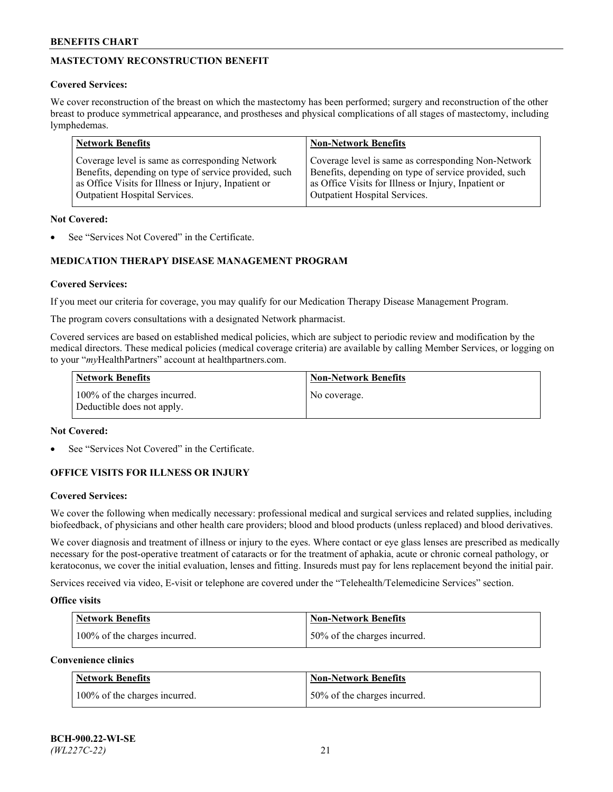# **MASTECTOMY RECONSTRUCTION BENEFIT**

## **Covered Services:**

We cover reconstruction of the breast on which the mastectomy has been performed; surgery and reconstruction of the other breast to produce symmetrical appearance, and prostheses and physical complications of all stages of mastectomy, including lymphedemas.

| <b>Network Benefits</b>                               | <b>Non-Network Benefits</b>                           |
|-------------------------------------------------------|-------------------------------------------------------|
| Coverage level is same as corresponding Network       | Coverage level is same as corresponding Non-Network   |
| Benefits, depending on type of service provided, such | Benefits, depending on type of service provided, such |
| as Office Visits for Illness or Injury, Inpatient or  | as Office Visits for Illness or Injury, Inpatient or  |
| Outpatient Hospital Services.                         | Outpatient Hospital Services.                         |

### **Not Covered:**

See "Services Not Covered" in the Certificate.

# **MEDICATION THERAPY DISEASE MANAGEMENT PROGRAM**

## **Covered Services:**

If you meet our criteria for coverage, you may qualify for our Medication Therapy Disease Management Program.

The program covers consultations with a designated Network pharmacist.

Covered services are based on established medical policies, which are subject to periodic review and modification by the medical directors. These medical policies (medical coverage criteria) are available by calling Member Services, or logging on to your "*my*HealthPartners" account at [healthpartners.com.](http://www.healthpartners.com/)

| Network Benefits                                            | <b>Non-Network Benefits</b> |
|-------------------------------------------------------------|-----------------------------|
| 100% of the charges incurred.<br>Deductible does not apply. | No coverage.                |

### **Not Covered:**

See "Services Not Covered" in the Certificate.

## **OFFICE VISITS FOR ILLNESS OR INJURY**

#### **Covered Services:**

We cover the following when medically necessary: professional medical and surgical services and related supplies, including biofeedback, of physicians and other health care providers; blood and blood products (unless replaced) and blood derivatives.

We cover diagnosis and treatment of illness or injury to the eyes. Where contact or eye glass lenses are prescribed as medically necessary for the post-operative treatment of cataracts or for the treatment of aphakia, acute or chronic corneal pathology, or keratoconus, we cover the initial evaluation, lenses and fitting. Insureds must pay for lens replacement beyond the initial pair.

Services received via video, E-visit or telephone are covered under the "Telehealth/Telemedicine Services" section.

#### **Office visits**

| <b>Network Benefits</b>       | <b>Non-Network Benefits</b>  |
|-------------------------------|------------------------------|
| 100% of the charges incurred. | 50% of the charges incurred. |

**Convenience clinics**

| <b>Network Benefits</b>       | <b>Non-Network Benefits</b>   |
|-------------------------------|-------------------------------|
| 100% of the charges incurred. | 150% of the charges incurred. |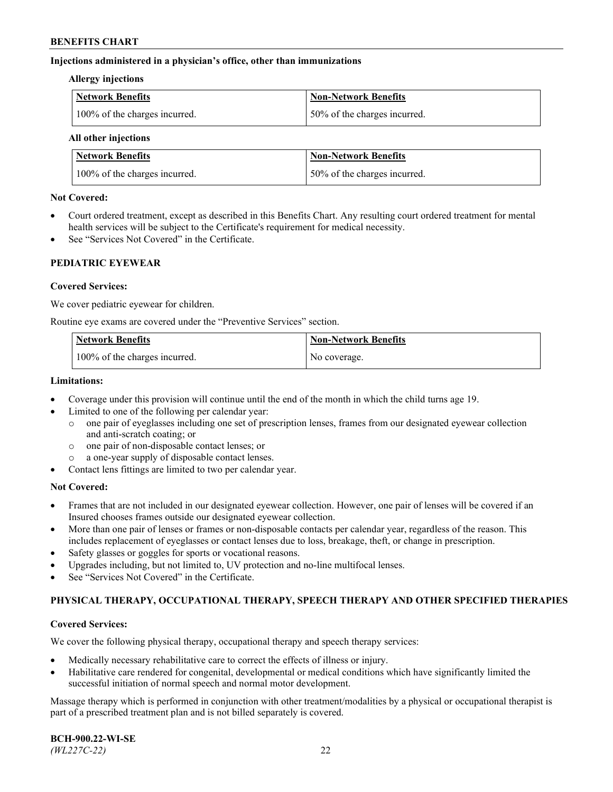### **Injections administered in a physician's office, other than immunizations**

#### **Allergy injections**

| Network Benefits              | Non-Network Benefits          |
|-------------------------------|-------------------------------|
| 100% of the charges incurred. | 150% of the charges incurred. |

#### **All other injections**

| <b>Network Benefits</b>       | <b>Non-Network Benefits</b>  |
|-------------------------------|------------------------------|
| 100% of the charges incurred. | 50% of the charges incurred. |

### **Not Covered:**

- Court ordered treatment, except as described in this Benefits Chart. Any resulting court ordered treatment for mental health services will be subject to the Certificate's requirement for medical necessity.
- See "Services Not Covered" in the Certificate.

## **PEDIATRIC EYEWEAR**

### **Covered Services:**

We cover pediatric eyewear for children.

Routine eye exams are covered under the "Preventive Services" section.

| Network Benefits              | <b>Non-Network Benefits</b> |
|-------------------------------|-----------------------------|
| 100% of the charges incurred. | No coverage.                |

### **Limitations:**

- Coverage under this provision will continue until the end of the month in which the child turns age 19.
- Limited to one of the following per calendar year:
	- o one pair of eyeglasses including one set of prescription lenses, frames from our designated eyewear collection and anti-scratch coating; or
	- o one pair of non-disposable contact lenses; or
	- o a one-year supply of disposable contact lenses.
- Contact lens fittings are limited to two per calendar year.

## **Not Covered:**

- Frames that are not included in our designated eyewear collection. However, one pair of lenses will be covered if an Insured chooses frames outside our designated eyewear collection.
- More than one pair of lenses or frames or non-disposable contacts per calendar year, regardless of the reason. This includes replacement of eyeglasses or contact lenses due to loss, breakage, theft, or change in prescription.
- Safety glasses or goggles for sports or vocational reasons.
- Upgrades including, but not limited to, UV protection and no-line multifocal lenses.
- See "Services Not Covered" in the Certificate.

## **PHYSICAL THERAPY, OCCUPATIONAL THERAPY, SPEECH THERAPY AND OTHER SPECIFIED THERAPIES**

#### **Covered Services:**

We cover the following physical therapy, occupational therapy and speech therapy services:

- Medically necessary rehabilitative care to correct the effects of illness or injury.
- Habilitative care rendered for congenital, developmental or medical conditions which have significantly limited the successful initiation of normal speech and normal motor development.

Massage therapy which is performed in conjunction with other treatment/modalities by a physical or occupational therapist is part of a prescribed treatment plan and is not billed separately is covered.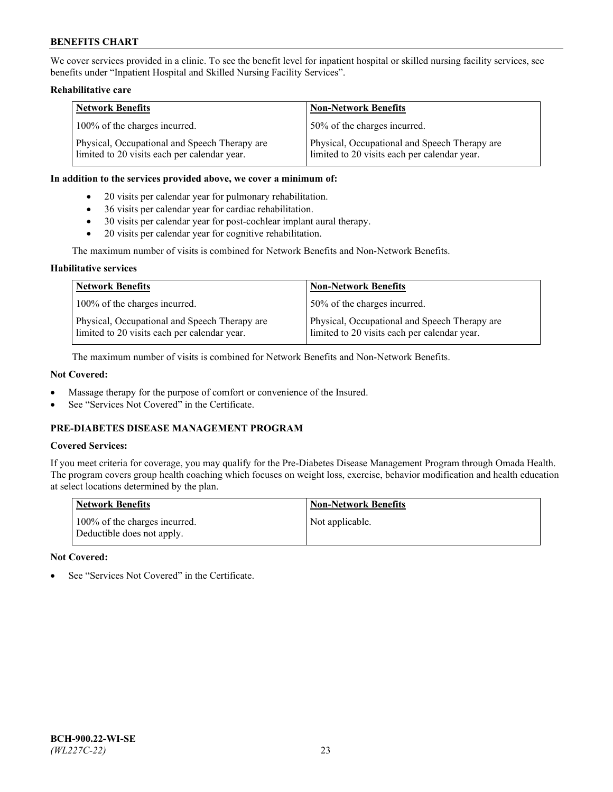We cover services provided in a clinic. To see the benefit level for inpatient hospital or skilled nursing facility services, see benefits under "Inpatient Hospital and Skilled Nursing Facility Services".

### **Rehabilitative care**

| <b>Network Benefits</b>                                                                       | <b>Non-Network Benefits</b>                                                                   |
|-----------------------------------------------------------------------------------------------|-----------------------------------------------------------------------------------------------|
| 100% of the charges incurred.                                                                 | 50% of the charges incurred.                                                                  |
| Physical, Occupational and Speech Therapy are<br>limited to 20 visits each per calendar year. | Physical, Occupational and Speech Therapy are<br>limited to 20 visits each per calendar year. |

#### **In addition to the services provided above, we cover a minimum of:**

- 20 visits per calendar year for pulmonary rehabilitation.
- 36 visits per calendar year for cardiac rehabilitation.
- 30 visits per calendar year for post-cochlear implant aural therapy.
- 20 visits per calendar year for cognitive rehabilitation.

The maximum number of visits is combined for Network Benefits and Non-Network Benefits.

### **Habilitative services**

| <b>Network Benefits</b>                                                                       | <b>Non-Network Benefits</b>                                                                   |
|-----------------------------------------------------------------------------------------------|-----------------------------------------------------------------------------------------------|
| 100% of the charges incurred.                                                                 | 50% of the charges incurred.                                                                  |
| Physical, Occupational and Speech Therapy are<br>limited to 20 visits each per calendar year. | Physical, Occupational and Speech Therapy are<br>limited to 20 visits each per calendar year. |

The maximum number of visits is combined for Network Benefits and Non-Network Benefits.

## **Not Covered:**

- Massage therapy for the purpose of comfort or convenience of the Insured.
- See "Services Not Covered" in the Certificate.

# **PRE-DIABETES DISEASE MANAGEMENT PROGRAM**

# **Covered Services:**

If you meet criteria for coverage, you may qualify for the Pre-Diabetes Disease Management Program through Omada Health. The program covers group health coaching which focuses on weight loss, exercise, behavior modification and health education at select locations determined by the plan.

| <b>Network Benefits</b>                                     | <b>Non-Network Benefits</b> |
|-------------------------------------------------------------|-----------------------------|
| 100% of the charges incurred.<br>Deductible does not apply. | Not applicable.             |

## **Not Covered:**

See "Services Not Covered" in the Certificate.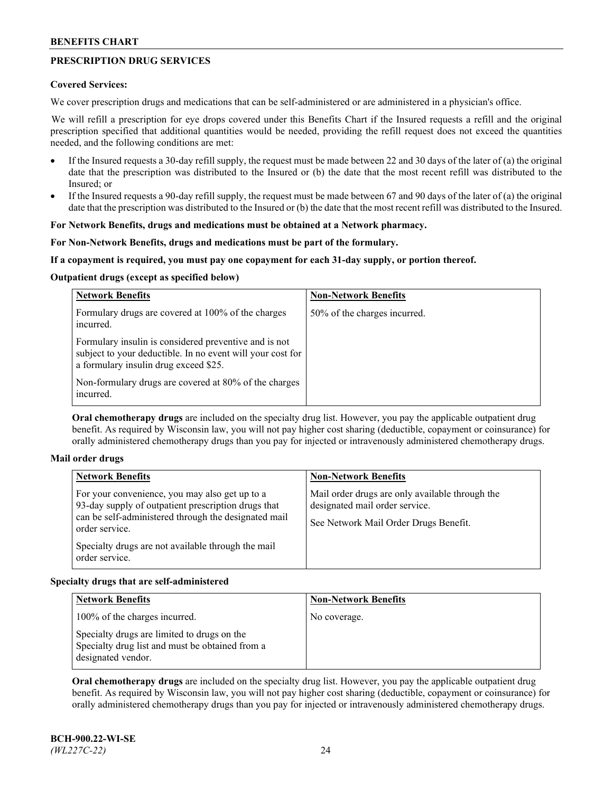# **PRESCRIPTION DRUG SERVICES**

### **Covered Services:**

We cover prescription drugs and medications that can be self-administered or are administered in a physician's office.

We will refill a prescription for eye drops covered under this Benefits Chart if the Insured requests a refill and the original prescription specified that additional quantities would be needed, providing the refill request does not exceed the quantities needed, and the following conditions are met:

- If the Insured requests a 30-day refill supply, the request must be made between 22 and 30 days of the later of (a) the original date that the prescription was distributed to the Insured or (b) the date that the most recent refill was distributed to the Insured; or
- If the Insured requests a 90-day refill supply, the request must be made between 67 and 90 days of the later of (a) the original date that the prescription was distributed to the Insured or (b) the date that the most recent refill was distributed to the Insured.

### **For Network Benefits, drugs and medications must be obtained at a Network pharmacy.**

### **For Non-Network Benefits, drugs and medications must be part of the formulary.**

### **If a copayment is required, you must pay one copayment for each 31-day supply, or portion thereof.**

### **Outpatient drugs (except as specified below)**

| <b>Network Benefits</b>                                                                                                                                      | <b>Non-Network Benefits</b>  |
|--------------------------------------------------------------------------------------------------------------------------------------------------------------|------------------------------|
| Formulary drugs are covered at 100% of the charges<br>incurred.                                                                                              | 50% of the charges incurred. |
| Formulary insulin is considered preventive and is not<br>subject to your deductible. In no event will your cost for<br>a formulary insulin drug exceed \$25. |                              |
| Non-formulary drugs are covered at 80% of the charges<br>incurred.                                                                                           |                              |

**Oral chemotherapy drugs** are included on the specialty drug list. However, you pay the applicable outpatient drug benefit. As required by Wisconsin law, you will not pay higher cost sharing (deductible, copayment or coinsurance) for orally administered chemotherapy drugs than you pay for injected or intravenously administered chemotherapy drugs.

#### **Mail order drugs**

| For your convenience, you may also get up to a                                                                                                                                                        |                                                                                                                            |
|-------------------------------------------------------------------------------------------------------------------------------------------------------------------------------------------------------|----------------------------------------------------------------------------------------------------------------------------|
| 93-day supply of outpatient prescription drugs that<br>can be self-administered through the designated mail<br>order service.<br>Specialty drugs are not available through the mail<br>order service. | Mail order drugs are only available through the<br>designated mail order service.<br>See Network Mail Order Drugs Benefit. |

## **Specialty drugs that are self-administered**

| <b>Network Benefits</b>                                                                                              | <b>Non-Network Benefits</b> |
|----------------------------------------------------------------------------------------------------------------------|-----------------------------|
| 100% of the charges incurred.                                                                                        | No coverage.                |
| Specialty drugs are limited to drugs on the<br>Specialty drug list and must be obtained from a<br>designated vendor. |                             |

**Oral chemotherapy drugs** are included on the specialty drug list. However, you pay the applicable outpatient drug benefit. As required by Wisconsin law, you will not pay higher cost sharing (deductible, copayment or coinsurance) for orally administered chemotherapy drugs than you pay for injected or intravenously administered chemotherapy drugs.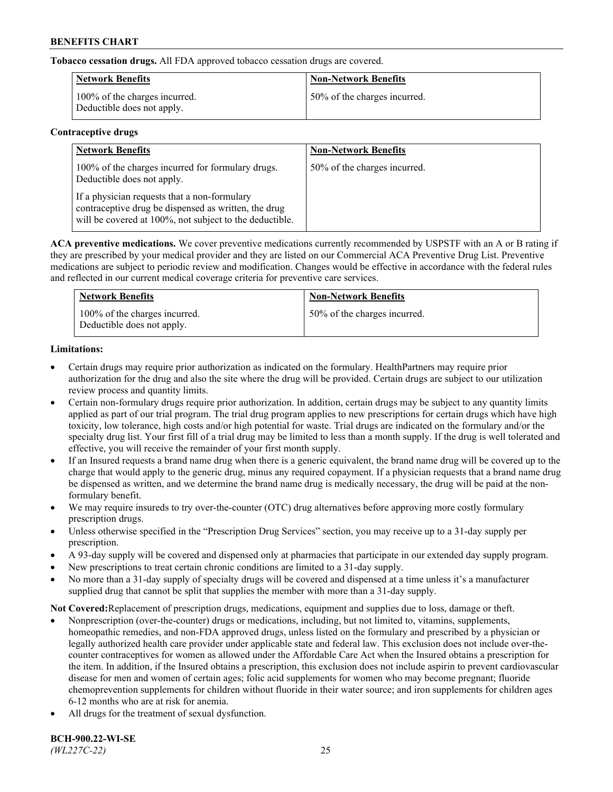**Tobacco cessation drugs.** All FDA approved tobacco cessation drugs are covered.

| <b>Network Benefits</b>                                     | <b>Non-Network Benefits</b>  |
|-------------------------------------------------------------|------------------------------|
| 100% of the charges incurred.<br>Deductible does not apply. | 50% of the charges incurred. |

# **Contraceptive drugs**

| <b>Network Benefits</b>                                                                                                                                         | <b>Non-Network Benefits</b>  |
|-----------------------------------------------------------------------------------------------------------------------------------------------------------------|------------------------------|
| 100% of the charges incurred for formulary drugs.<br>Deductible does not apply.                                                                                 | 50% of the charges incurred. |
| If a physician requests that a non-formulary<br>contraceptive drug be dispensed as written, the drug<br>will be covered at 100%, not subject to the deductible. |                              |

**ACA preventive medications.** We cover preventive medications currently recommended by USPSTF with an A or B rating if they are prescribed by your medical provider and they are listed on our Commercial ACA Preventive Drug List. Preventive medications are subject to periodic review and modification. Changes would be effective in accordance with the federal rules and reflected in our current medical coverage criteria for preventive care services.

| <b>Network Benefits</b>                                     | <b>Non-Network Benefits</b>  |
|-------------------------------------------------------------|------------------------------|
| 100% of the charges incurred.<br>Deductible does not apply. | 50% of the charges incurred. |

# **Limitations:**

- Certain drugs may require prior authorization as indicated on the formulary. HealthPartners may require prior authorization for the drug and also the site where the drug will be provided. Certain drugs are subject to our utilization review process and quantity limits.
- Certain non-formulary drugs require prior authorization. In addition, certain drugs may be subject to any quantity limits applied as part of our trial program. The trial drug program applies to new prescriptions for certain drugs which have high toxicity, low tolerance, high costs and/or high potential for waste. Trial drugs are indicated on the formulary and/or the specialty drug list. Your first fill of a trial drug may be limited to less than a month supply. If the drug is well tolerated and effective, you will receive the remainder of your first month supply.
- If an Insured requests a brand name drug when there is a generic equivalent, the brand name drug will be covered up to the charge that would apply to the generic drug, minus any required copayment. If a physician requests that a brand name drug be dispensed as written, and we determine the brand name drug is medically necessary, the drug will be paid at the nonformulary benefit.
- We may require insureds to try over-the-counter (OTC) drug alternatives before approving more costly formulary prescription drugs.
- Unless otherwise specified in the "Prescription Drug Services" section, you may receive up to a 31-day supply per prescription.
- A 93-day supply will be covered and dispensed only at pharmacies that participate in our extended day supply program.
- New prescriptions to treat certain chronic conditions are limited to a 31-day supply.
- No more than a 31-day supply of specialty drugs will be covered and dispensed at a time unless it's a manufacturer supplied drug that cannot be split that supplies the member with more than a 31-day supply.

**Not Covered:**Replacement of prescription drugs, medications, equipment and supplies due to loss, damage or theft.

- Nonprescription (over-the-counter) drugs or medications, including, but not limited to, vitamins, supplements, homeopathic remedies, and non-FDA approved drugs, unless listed on the formulary and prescribed by a physician or legally authorized health care provider under applicable state and federal law. This exclusion does not include over-thecounter contraceptives for women as allowed under the Affordable Care Act when the Insured obtains a prescription for the item. In addition, if the Insured obtains a prescription, this exclusion does not include aspirin to prevent cardiovascular disease for men and women of certain ages; folic acid supplements for women who may become pregnant; fluoride chemoprevention supplements for children without fluoride in their water source; and iron supplements for children ages 6-12 months who are at risk for anemia.
- All drugs for the treatment of sexual dysfunction.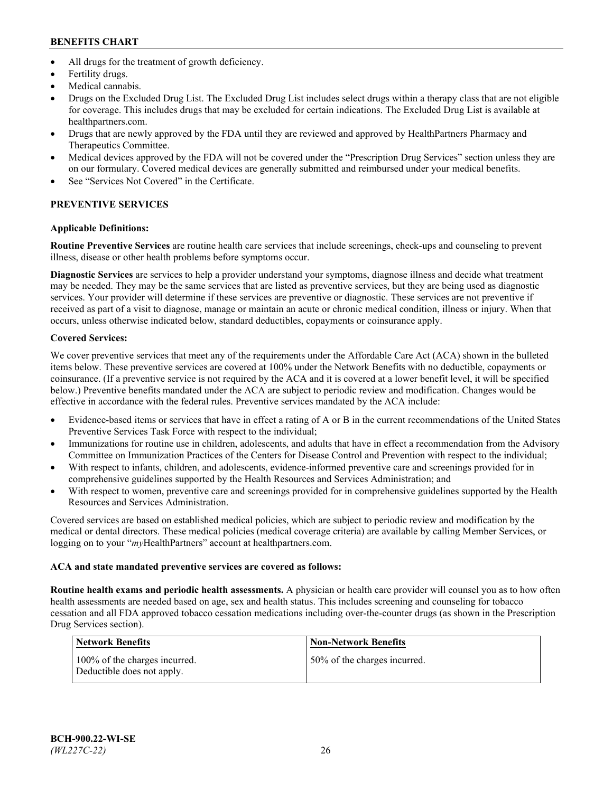- All drugs for the treatment of growth deficiency.
- Fertility drugs.
- Medical cannabis.
- Drugs on the Excluded Drug List. The Excluded Drug List includes select drugs within a therapy class that are not eligible for coverage. This includes drugs that may be excluded for certain indications. The Excluded Drug List is available at [healthpartners.com.](http://www.healthpartners.com/)
- Drugs that are newly approved by the FDA until they are reviewed and approved by HealthPartners Pharmacy and Therapeutics Committee.
- Medical devices approved by the FDA will not be covered under the "Prescription Drug Services" section unless they are on our formulary. Covered medical devices are generally submitted and reimbursed under your medical benefits.
- See "Services Not Covered" in the Certificate.

# **PREVENTIVE SERVICES**

# **Applicable Definitions:**

**Routine Preventive Services** are routine health care services that include screenings, check-ups and counseling to prevent illness, disease or other health problems before symptoms occur.

**Diagnostic Services** are services to help a provider understand your symptoms, diagnose illness and decide what treatment may be needed. They may be the same services that are listed as preventive services, but they are being used as diagnostic services. Your provider will determine if these services are preventive or diagnostic. These services are not preventive if received as part of a visit to diagnose, manage or maintain an acute or chronic medical condition, illness or injury. When that occurs, unless otherwise indicated below, standard deductibles, copayments or coinsurance apply.

# **Covered Services:**

We cover preventive services that meet any of the requirements under the Affordable Care Act (ACA) shown in the bulleted items below. These preventive services are covered at 100% under the Network Benefits with no deductible, copayments or coinsurance. (If a preventive service is not required by the ACA and it is covered at a lower benefit level, it will be specified below.) Preventive benefits mandated under the ACA are subject to periodic review and modification. Changes would be effective in accordance with the federal rules. Preventive services mandated by the ACA include:

- Evidence-based items or services that have in effect a rating of A or B in the current recommendations of the United States Preventive Services Task Force with respect to the individual;
- Immunizations for routine use in children, adolescents, and adults that have in effect a recommendation from the Advisory Committee on Immunization Practices of the Centers for Disease Control and Prevention with respect to the individual;
- With respect to infants, children, and adolescents, evidence-informed preventive care and screenings provided for in comprehensive guidelines supported by the Health Resources and Services Administration; and
- With respect to women, preventive care and screenings provided for in comprehensive guidelines supported by the Health Resources and Services Administration.

Covered services are based on established medical policies, which are subject to periodic review and modification by the medical or dental directors. These medical policies (medical coverage criteria) are available by calling Member Services, or logging on to your "*my*HealthPartners" account at [healthpartners.com.](https://www.healthpartners.com/hp/index.html)

# **ACA and state mandated preventive services are covered as follows:**

**Routine health exams and periodic health assessments.** A physician or health care provider will counsel you as to how often health assessments are needed based on age, sex and health status. This includes screening and counseling for tobacco cessation and all FDA approved tobacco cessation medications including over-the-counter drugs (as shown in the Prescription Drug Services section).

| Network Benefits                                            | <b>Non-Network Benefits</b>  |
|-------------------------------------------------------------|------------------------------|
| 100% of the charges incurred.<br>Deductible does not apply. | 50% of the charges incurred. |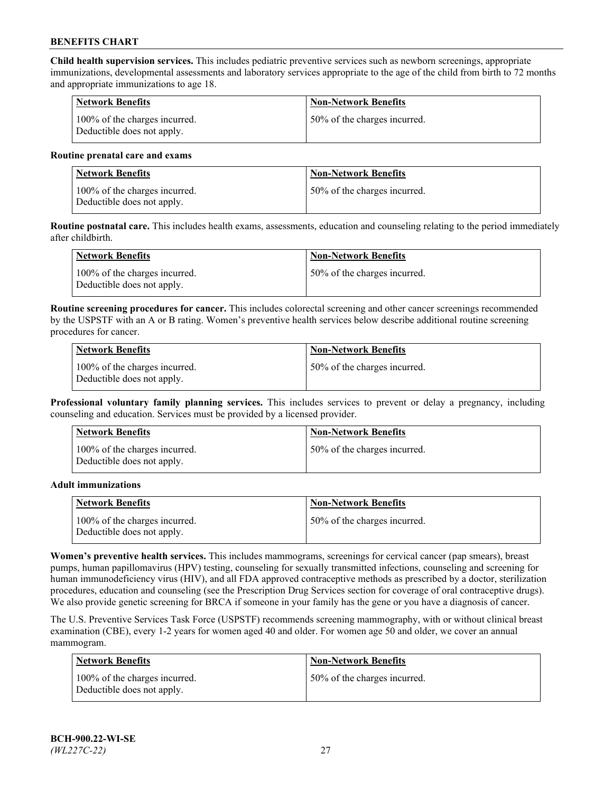**Child health supervision services.** This includes pediatric preventive services such as newborn screenings, appropriate immunizations, developmental assessments and laboratory services appropriate to the age of the child from birth to 72 months and appropriate immunizations to age 18.

| <b>Network Benefits</b>                                     | <b>Non-Network Benefits</b>  |
|-------------------------------------------------------------|------------------------------|
| 100% of the charges incurred.<br>Deductible does not apply. | 50% of the charges incurred. |

#### **Routine prenatal care and exams**

| Network Benefits                                            | <b>Non-Network Benefits</b>  |
|-------------------------------------------------------------|------------------------------|
| 100% of the charges incurred.<br>Deductible does not apply. | 50% of the charges incurred. |

**Routine postnatal care.** This includes health exams, assessments, education and counseling relating to the period immediately after childbirth.

| Network Benefits                                            | <b>Non-Network Benefits</b>  |
|-------------------------------------------------------------|------------------------------|
| 100% of the charges incurred.<br>Deductible does not apply. | 50% of the charges incurred. |

**Routine screening procedures for cancer.** This includes colorectal screening and other cancer screenings recommended by the USPSTF with an A or B rating. Women's preventive health services below describe additional routine screening procedures for cancer.

| <b>Network Benefits</b>                                     | <b>Non-Network Benefits</b>  |
|-------------------------------------------------------------|------------------------------|
| 100% of the charges incurred.<br>Deductible does not apply. | 50% of the charges incurred. |

**Professional voluntary family planning services.** This includes services to prevent or delay a pregnancy, including counseling and education. Services must be provided by a licensed provider.

| <b>Network Benefits</b>                                     | <b>Non-Network Benefits</b>  |
|-------------------------------------------------------------|------------------------------|
| 100% of the charges incurred.<br>Deductible does not apply. | 50% of the charges incurred. |

#### **Adult immunizations**

| <b>Network Benefits</b>                                     | <b>Non-Network Benefits</b>  |
|-------------------------------------------------------------|------------------------------|
| 100% of the charges incurred.<br>Deductible does not apply. | 50% of the charges incurred. |

**Women's preventive health services.** This includes mammograms, screenings for cervical cancer (pap smears), breast pumps, human papillomavirus (HPV) testing, counseling for sexually transmitted infections, counseling and screening for human immunodeficiency virus (HIV), and all FDA approved contraceptive methods as prescribed by a doctor, sterilization procedures, education and counseling (see the Prescription Drug Services section for coverage of oral contraceptive drugs). We also provide genetic screening for BRCA if someone in your family has the gene or you have a diagnosis of cancer.

The U.S. Preventive Services Task Force (USPSTF) recommends screening mammography, with or without clinical breast examination (CBE), every 1-2 years for women aged 40 and older. For women age 50 and older, we cover an annual mammogram.

| <b>Network Benefits</b>                                     | <b>Non-Network Benefits</b>  |
|-------------------------------------------------------------|------------------------------|
| 100% of the charges incurred.<br>Deductible does not apply. | 50% of the charges incurred. |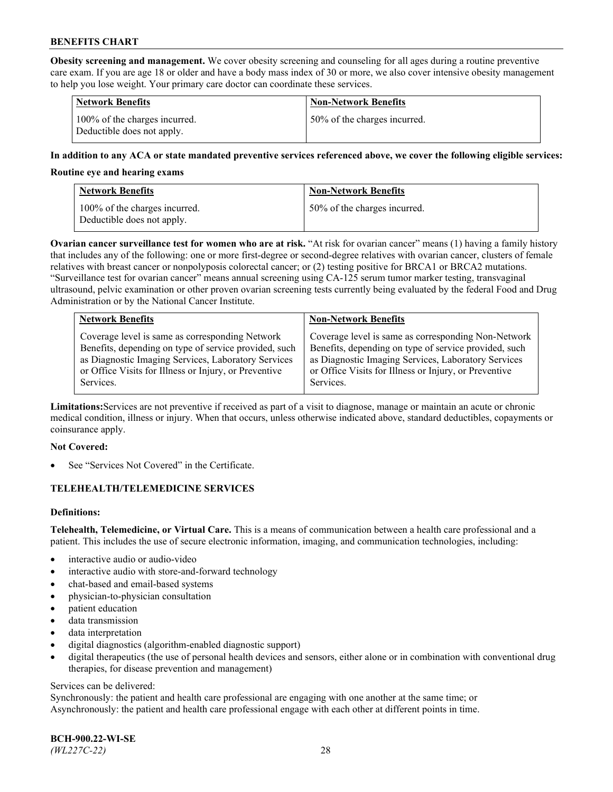**Obesity screening and management.** We cover obesity screening and counseling for all ages during a routine preventive care exam. If you are age 18 or older and have a body mass index of 30 or more, we also cover intensive obesity management to help you lose weight. Your primary care doctor can coordinate these services.

| <b>Network Benefits</b>                                     | <b>Non-Network Benefits</b>  |
|-------------------------------------------------------------|------------------------------|
| 100% of the charges incurred.<br>Deductible does not apply. | 50% of the charges incurred. |

### **In addition to any ACA or state mandated preventive services referenced above, we cover the following eligible services:**

#### **Routine eye and hearing exams**

| <b>Network Benefits</b>                                     | <b>Non-Network Benefits</b>  |
|-------------------------------------------------------------|------------------------------|
| 100% of the charges incurred.<br>Deductible does not apply. | 50% of the charges incurred. |

**Ovarian cancer surveillance test for women who are at risk.** "At risk for ovarian cancer" means (1) having a family history that includes any of the following: one or more first-degree or second-degree relatives with ovarian cancer, clusters of female relatives with breast cancer or nonpolyposis colorectal cancer; or (2) testing positive for BRCA1 or BRCA2 mutations. "Surveillance test for ovarian cancer" means annual screening using CA-125 serum tumor marker testing, transvaginal ultrasound, pelvic examination or other proven ovarian screening tests currently being evaluated by the federal Food and Drug Administration or by the National Cancer Institute.

| <b>Network Benefits</b>                               | <b>Non-Network Benefits</b>                           |
|-------------------------------------------------------|-------------------------------------------------------|
| Coverage level is same as corresponding Network       | Coverage level is same as corresponding Non-Network   |
| Benefits, depending on type of service provided, such | Benefits, depending on type of service provided, such |
| as Diagnostic Imaging Services, Laboratory Services   | as Diagnostic Imaging Services, Laboratory Services   |
| or Office Visits for Illness or Injury, or Preventive | or Office Visits for Illness or Injury, or Preventive |
| Services.                                             | Services.                                             |

**Limitations:**Services are not preventive if received as part of a visit to diagnose, manage or maintain an acute or chronic medical condition, illness or injury. When that occurs, unless otherwise indicated above, standard deductibles, copayments or coinsurance apply.

#### **Not Covered:**

See "Services Not Covered" in the Certificate.

## **TELEHEALTH/TELEMEDICINE SERVICES**

## **Definitions:**

**Telehealth, Telemedicine, or Virtual Care.** This is a means of communication between a health care professional and a patient. This includes the use of secure electronic information, imaging, and communication technologies, including:

- interactive audio or audio-video
- interactive audio with store-and-forward technology
- chat-based and email-based systems
- physician-to-physician consultation
- patient education
- data transmission
- data interpretation
- digital diagnostics (algorithm-enabled diagnostic support)
- digital therapeutics (the use of personal health devices and sensors, either alone or in combination with conventional drug therapies, for disease prevention and management)

#### Services can be delivered:

Synchronously: the patient and health care professional are engaging with one another at the same time; or Asynchronously: the patient and health care professional engage with each other at different points in time.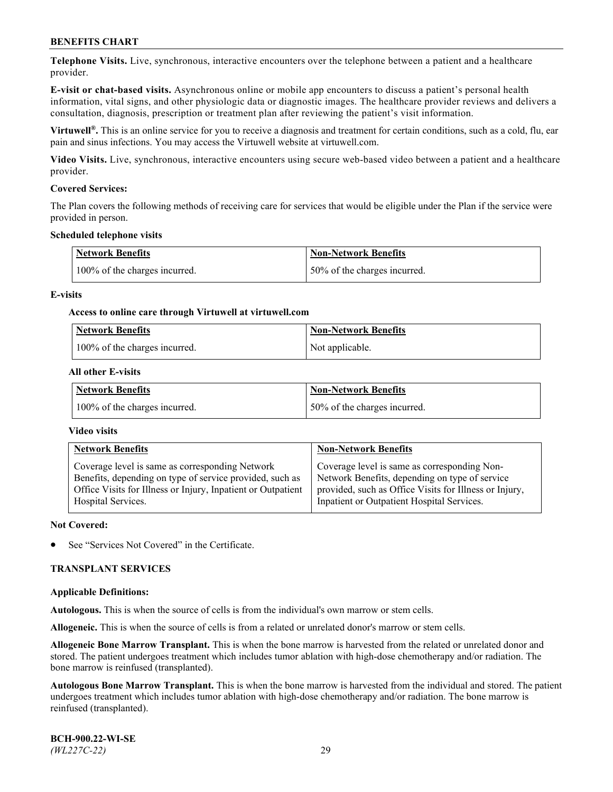**Telephone Visits.** Live, synchronous, interactive encounters over the telephone between a patient and a healthcare provider.

**E-visit or chat-based visits.** Asynchronous online or mobile app encounters to discuss a patient's personal health information, vital signs, and other physiologic data or diagnostic images. The healthcare provider reviews and delivers a consultation, diagnosis, prescription or treatment plan after reviewing the patient's visit information.

**Virtuwell®.** This is an online service for you to receive a diagnosis and treatment for certain conditions, such as a cold, flu, ear pain and sinus infections. You may access the Virtuwell website at [virtuwell.com.](https://www.virtuwell.com/)

**Video Visits.** Live, synchronous, interactive encounters using secure web-based video between a patient and a healthcare provider.

#### **Covered Services:**

The Plan covers the following methods of receiving care for services that would be eligible under the Plan if the service were provided in person.

#### **Scheduled telephone visits**

| <b>Network Benefits</b>       | <b>Non-Network Benefits</b>  |
|-------------------------------|------------------------------|
| 100% of the charges incurred. | 50% of the charges incurred. |

### **E-visits**

### **Access to online care through Virtuwell at [virtuwell.com](https://www.virtuwell.com/)**

| <b>Network Benefits</b>       | <b>Non-Network Benefits</b> |
|-------------------------------|-----------------------------|
| 100% of the charges incurred. | Not applicable.             |

### **All other E-visits**

| Network Benefits              | <b>Non-Network Benefits</b>  |
|-------------------------------|------------------------------|
| 100% of the charges incurred. | 50% of the charges incurred. |

### **Video visits**

| <b>Network Benefits</b>                                                                                                                                                                           | <b>Non-Network Benefits</b>                                                                                                                                                                            |
|---------------------------------------------------------------------------------------------------------------------------------------------------------------------------------------------------|--------------------------------------------------------------------------------------------------------------------------------------------------------------------------------------------------------|
| Coverage level is same as corresponding Network<br>Benefits, depending on type of service provided, such as<br>Office Visits for Illness or Injury, Inpatient or Outpatient<br>Hospital Services. | Coverage level is same as corresponding Non-<br>Network Benefits, depending on type of service<br>provided, such as Office Visits for Illness or Injury,<br>Inpatient or Outpatient Hospital Services. |
|                                                                                                                                                                                                   |                                                                                                                                                                                                        |

#### **Not Covered:**

See "Services Not Covered" in the Certificate.

## **TRANSPLANT SERVICES**

#### **Applicable Definitions:**

**Autologous.** This is when the source of cells is from the individual's own marrow or stem cells.

**Allogeneic.** This is when the source of cells is from a related or unrelated donor's marrow or stem cells.

**Allogeneic Bone Marrow Transplant.** This is when the bone marrow is harvested from the related or unrelated donor and stored. The patient undergoes treatment which includes tumor ablation with high-dose chemotherapy and/or radiation. The bone marrow is reinfused (transplanted).

**Autologous Bone Marrow Transplant.** This is when the bone marrow is harvested from the individual and stored. The patient undergoes treatment which includes tumor ablation with high-dose chemotherapy and/or radiation. The bone marrow is reinfused (transplanted).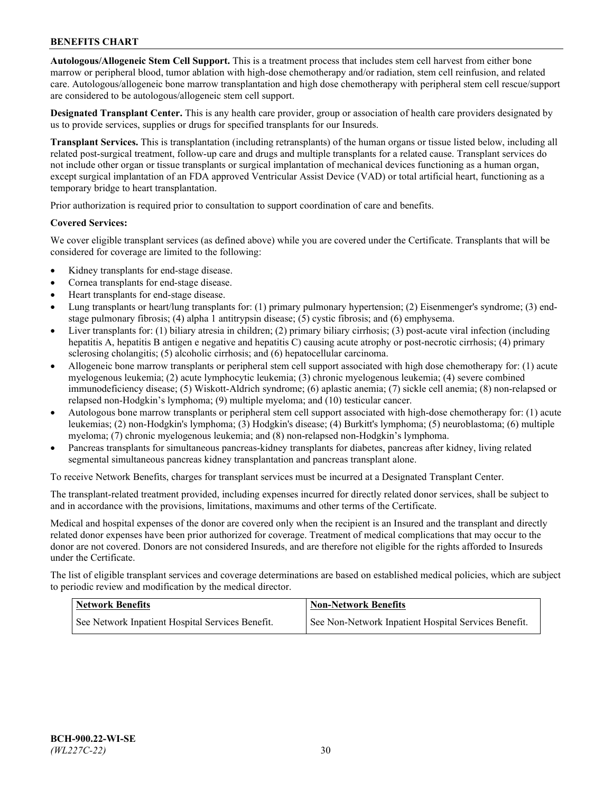**Autologous/Allogeneic Stem Cell Support.** This is a treatment process that includes stem cell harvest from either bone marrow or peripheral blood, tumor ablation with high-dose chemotherapy and/or radiation, stem cell reinfusion, and related care. Autologous/allogeneic bone marrow transplantation and high dose chemotherapy with peripheral stem cell rescue/support are considered to be autologous/allogeneic stem cell support.

**Designated Transplant Center.** This is any health care provider, group or association of health care providers designated by us to provide services, supplies or drugs for specified transplants for our Insureds.

**Transplant Services.** This is transplantation (including retransplants) of the human organs or tissue listed below, including all related post-surgical treatment, follow-up care and drugs and multiple transplants for a related cause. Transplant services do not include other organ or tissue transplants or surgical implantation of mechanical devices functioning as a human organ, except surgical implantation of an FDA approved Ventricular Assist Device (VAD) or total artificial heart, functioning as a temporary bridge to heart transplantation.

Prior authorization is required prior to consultation to support coordination of care and benefits.

### **Covered Services:**

We cover eligible transplant services (as defined above) while you are covered under the Certificate. Transplants that will be considered for coverage are limited to the following:

- Kidney transplants for end-stage disease.
- Cornea transplants for end-stage disease.
- Heart transplants for end-stage disease.
- Lung transplants or heart/lung transplants for: (1) primary pulmonary hypertension; (2) Eisenmenger's syndrome; (3) endstage pulmonary fibrosis; (4) alpha 1 antitrypsin disease; (5) cystic fibrosis; and (6) emphysema.
- Liver transplants for: (1) biliary atresia in children; (2) primary biliary cirrhosis; (3) post-acute viral infection (including hepatitis A, hepatitis B antigen e negative and hepatitis C) causing acute atrophy or post-necrotic cirrhosis; (4) primary sclerosing cholangitis; (5) alcoholic cirrhosis; and (6) hepatocellular carcinoma.
- Allogeneic bone marrow transplants or peripheral stem cell support associated with high dose chemotherapy for: (1) acute myelogenous leukemia; (2) acute lymphocytic leukemia; (3) chronic myelogenous leukemia; (4) severe combined immunodeficiency disease; (5) Wiskott-Aldrich syndrome; (6) aplastic anemia; (7) sickle cell anemia; (8) non-relapsed or relapsed non-Hodgkin's lymphoma; (9) multiple myeloma; and (10) testicular cancer.
- Autologous bone marrow transplants or peripheral stem cell support associated with high-dose chemotherapy for: (1) acute leukemias; (2) non-Hodgkin's lymphoma; (3) Hodgkin's disease; (4) Burkitt's lymphoma; (5) neuroblastoma; (6) multiple myeloma; (7) chronic myelogenous leukemia; and (8) non-relapsed non-Hodgkin's lymphoma.
- Pancreas transplants for simultaneous pancreas-kidney transplants for diabetes, pancreas after kidney, living related segmental simultaneous pancreas kidney transplantation and pancreas transplant alone.

To receive Network Benefits, charges for transplant services must be incurred at a Designated Transplant Center.

The transplant-related treatment provided, including expenses incurred for directly related donor services, shall be subject to and in accordance with the provisions, limitations, maximums and other terms of the Certificate.

Medical and hospital expenses of the donor are covered only when the recipient is an Insured and the transplant and directly related donor expenses have been prior authorized for coverage. Treatment of medical complications that may occur to the donor are not covered. Donors are not considered Insureds, and are therefore not eligible for the rights afforded to Insureds under the Certificate.

The list of eligible transplant services and coverage determinations are based on established medical policies, which are subject to periodic review and modification by the medical director.

| <b>Network Benefits</b>                          | <b>Non-Network Benefits</b>                          |
|--------------------------------------------------|------------------------------------------------------|
| See Network Inpatient Hospital Services Benefit. | See Non-Network Inpatient Hospital Services Benefit. |